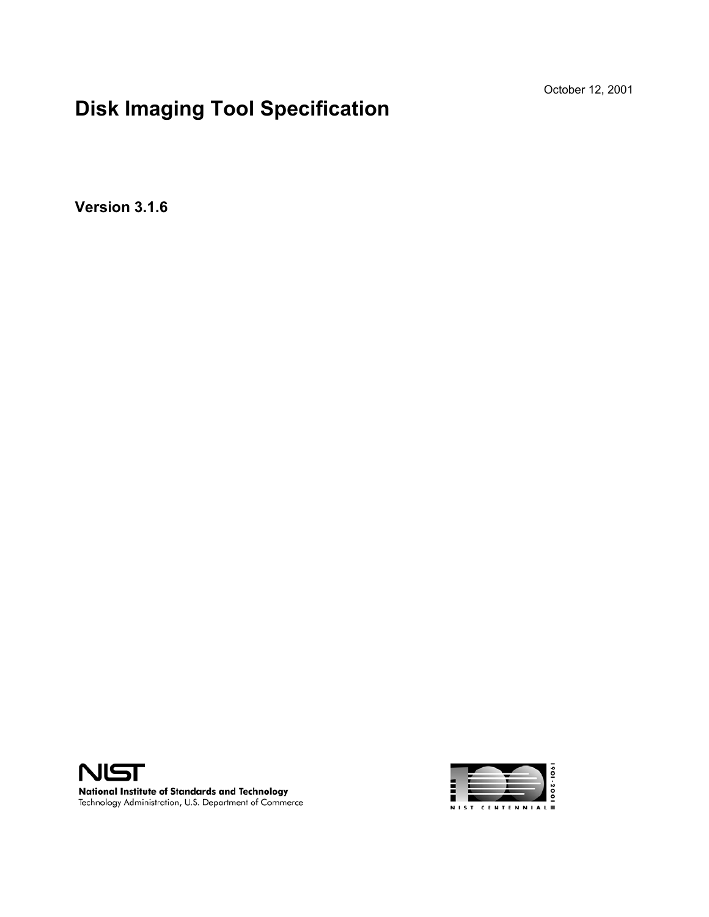October 12, 2001

# **Disk Imaging Tool Specification**

**Version 3.1.6** 



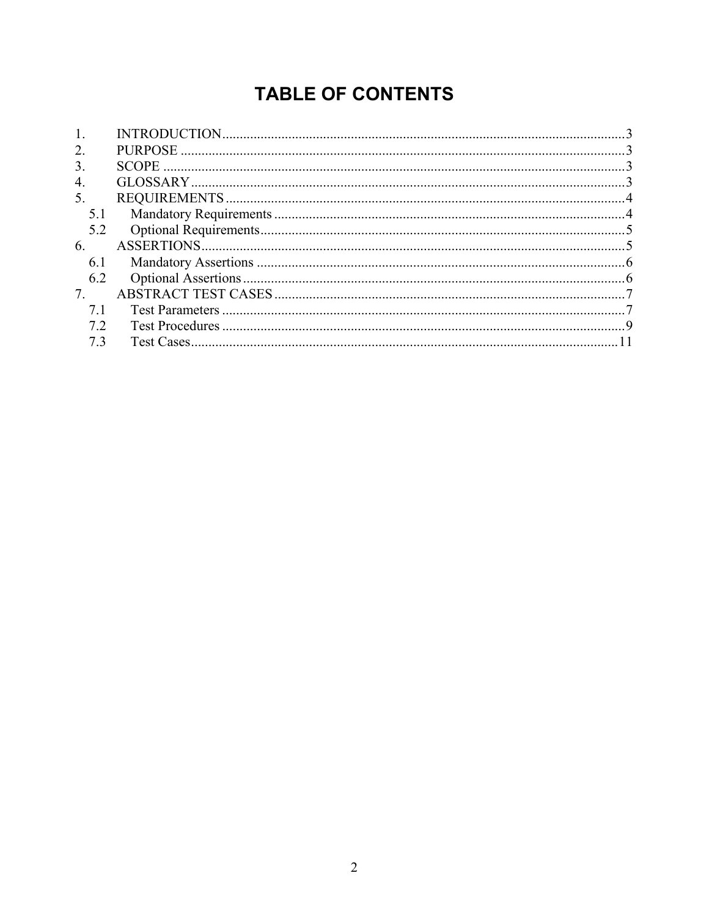# **TABLE OF CONTENTS**

| $\overline{2}$ . |  |
|------------------|--|
| 3.               |  |
| $\overline{4}$   |  |
| 5.               |  |
| 5.1              |  |
| 5.2              |  |
| 6                |  |
| 6.1              |  |
| 6.2              |  |
| 7.               |  |
|                  |  |
| 72               |  |
| 73               |  |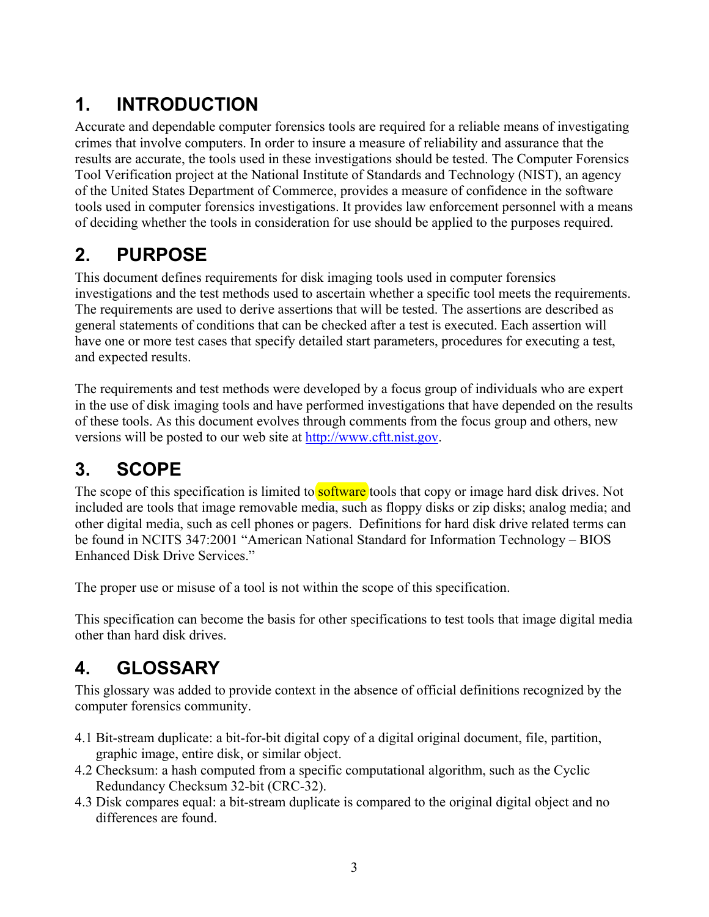# **1. INTRODUCTION**

Accurate and dependable computer forensics tools are required for a reliable means of investigating crimes that involve computers. In order to insure a measure of reliability and assurance that the results are accurate, the tools used in these investigations should be tested. The Computer Forensics Tool Verification project at the National Institute of Standards and Technology (NIST), an agency of the United States Department of Commerce, provides a measure of confidence in the software tools used in computer forensics investigations. It provides law enforcement personnel with a means of deciding whether the tools in consideration for use should be applied to the purposes required.

## **2. PURPOSE**

This document defines requirements for disk imaging tools used in computer forensics investigations and the test methods used to ascertain whether a specific tool meets the requirements. The requirements are used to derive assertions that will be tested. The assertions are described as general statements of conditions that can be checked after a test is executed. Each assertion will have one or more test cases that specify detailed start parameters, procedures for executing a test, and expected results.

The requirements and test methods were developed by a focus group of individuals who are expert in the use of disk imaging tools and have performed investigations that have depended on the results of these tools. As this document evolves through comments from the focus group and others, new versions will be posted to our web site at http://www.cftt.nist.gov.

# **3. SCOPE**

The scope of this specification is limited to **software** tools that copy or image hard disk drives. Not included are tools that image removable media, such as floppy disks or zip disks; analog media; and other digital media, such as cell phones or pagers. Definitions for hard disk drive related terms can be found in NCITS 347:2001 "American National Standard for Information Technology – BIOS Enhanced Disk Drive Services."

The proper use or misuse of a tool is not within the scope of this specification.

This specification can become the basis for other specifications to test tools that image digital media other than hard disk drives.

## **4. GLOSSARY**

This glossary was added to provide context in the absence of official definitions recognized by the computer forensics community.

- 4.1 Bit-stream duplicate: a bit-for-bit digital copy of a digital original document, file, partition, graphic image, entire disk, or similar object.
- 4.2 Checksum: a hash computed from a specific computational algorithm, such as the Cyclic Redundancy Checksum 32-bit (CRC-32).
- 4.3 Disk compares equal: a bit-stream duplicate is compared to the original digital object and no differences are found.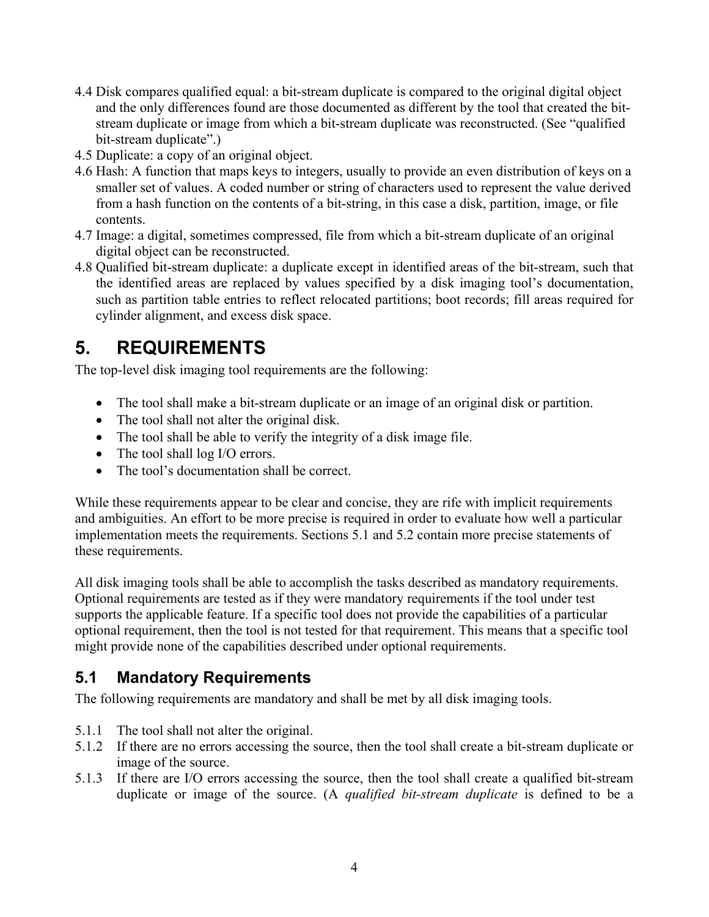- 4.4 Disk compares qualified equal: a bit-stream duplicate is compared to the original digital object and the only differences found are those documented as different by the tool that created the bitstream duplicate or image from which a bit-stream duplicate was reconstructed. (See "qualified bit-stream duplicate".)
- 4.5 Duplicate: a copy of an original object.
- 4.6 Hash: A function that maps keys to integers, usually to provide an even distribution of keys on a smaller set of values. A coded number or string of characters used to represent the value derived from a hash function on the contents of a bit-string, in this case a disk, partition, image, or file contents.
- 4.7 Image: a digital, sometimes compressed, file from which a bit-stream duplicate of an original digital object can be reconstructed.
- 4.8 Qualified bit-stream duplicate: a duplicate except in identified areas of the bit-stream, such that the identified areas are replaced by values specified by a disk imaging tool's documentation, such as partition table entries to reflect relocated partitions; boot records; fill areas required for cylinder alignment, and excess disk space.

## **5. REQUIREMENTS**

The top-level disk imaging tool requirements are the following:

- The tool shall make a bit-stream duplicate or an image of an original disk or partition.
- The tool shall not alter the original disk.
- The tool shall be able to verify the integrity of a disk image file.
- The tool shall log I/O errors.
- The tool's documentation shall be correct.

While these requirements appear to be clear and concise, they are rife with implicit requirements and ambiguities. An effort to be more precise is required in order to evaluate how well a particular implementation meets the requirements. Sections 5.1 and 5.2 contain more precise statements of these requirements.

All disk imaging tools shall be able to accomplish the tasks described as mandatory requirements. Optional requirements are tested as if they were mandatory requirements if the tool under test supports the applicable feature. If a specific tool does not provide the capabilities of a particular optional requirement, then the tool is not tested for that requirement. This means that a specific tool might provide none of the capabilities described under optional requirements.

### **5.1 Mandatory Requirements**

The following requirements are mandatory and shall be met by all disk imaging tools.

- 5.1.1 The tool shall not alter the original.
- 5.1.2 If there are no errors accessing the source, then the tool shall create a bit-stream duplicate or image of the source.
- 5.1.3 If there are I/O errors accessing the source, then the tool shall create a qualified bit-stream duplicate or image of the source. (A *qualified bit-stream duplicate* is defined to be a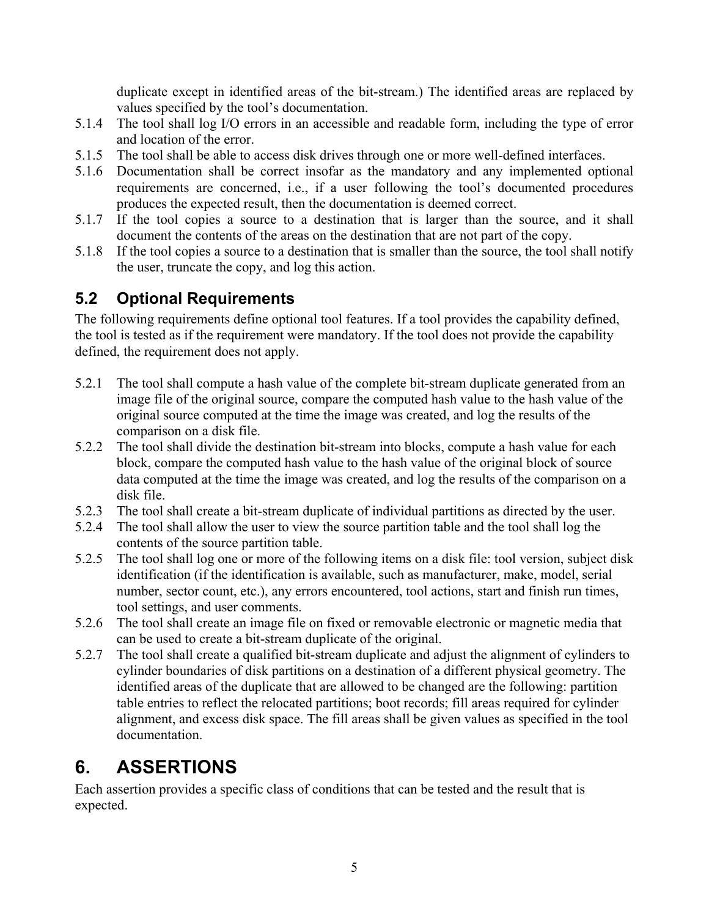duplicate except in identified areas of the bit-stream.) The identified areas are replaced by values specified by the tool's documentation.

- 5.1.4 The tool shall log I/O errors in an accessible and readable form, including the type of error and location of the error.
- 5.1.5 The tool shall be able to access disk drives through one or more well-defined interfaces.
- 5.1.6 Documentation shall be correct insofar as the mandatory and any implemented optional requirements are concerned, i.e., if a user following the tool's documented procedures produces the expected result, then the documentation is deemed correct.
- 5.1.7 If the tool copies a source to a destination that is larger than the source, and it shall document the contents of the areas on the destination that are not part of the copy.
- 5.1.8 If the tool copies a source to a destination that is smaller than the source, the tool shall notify the user, truncate the copy, and log this action.

## **5.2 Optional Requirements**

The following requirements define optional tool features. If a tool provides the capability defined, the tool is tested as if the requirement were mandatory. If the tool does not provide the capability defined, the requirement does not apply.

- 5.2.1 The tool shall compute a hash value of the complete bit-stream duplicate generated from an image file of the original source, compare the computed hash value to the hash value of the original source computed at the time the image was created, and log the results of the comparison on a disk file.
- 5.2.2 The tool shall divide the destination bit-stream into blocks, compute a hash value for each block, compare the computed hash value to the hash value of the original block of source data computed at the time the image was created, and log the results of the comparison on a disk file.
- 5.2.3 The tool shall create a bit-stream duplicate of individual partitions as directed by the user.
- 5.2.4 The tool shall allow the user to view the source partition table and the tool shall log the contents of the source partition table.
- 5.2.5 The tool shall log one or more of the following items on a disk file: tool version, subject disk identification (if the identification is available, such as manufacturer, make, model, serial number, sector count, etc.), any errors encountered, tool actions, start and finish run times, tool settings, and user comments.
- 5.2.6 The tool shall create an image file on fixed or removable electronic or magnetic media that can be used to create a bit-stream duplicate of the original.
- 5.2.7 The tool shall create a qualified bit-stream duplicate and adjust the alignment of cylinders to cylinder boundaries of disk partitions on a destination of a different physical geometry. The identified areas of the duplicate that are allowed to be changed are the following: partition table entries to reflect the relocated partitions; boot records; fill areas required for cylinder alignment, and excess disk space. The fill areas shall be given values as specified in the tool documentation.

# **6. ASSERTIONS**

Each assertion provides a specific class of conditions that can be tested and the result that is expected.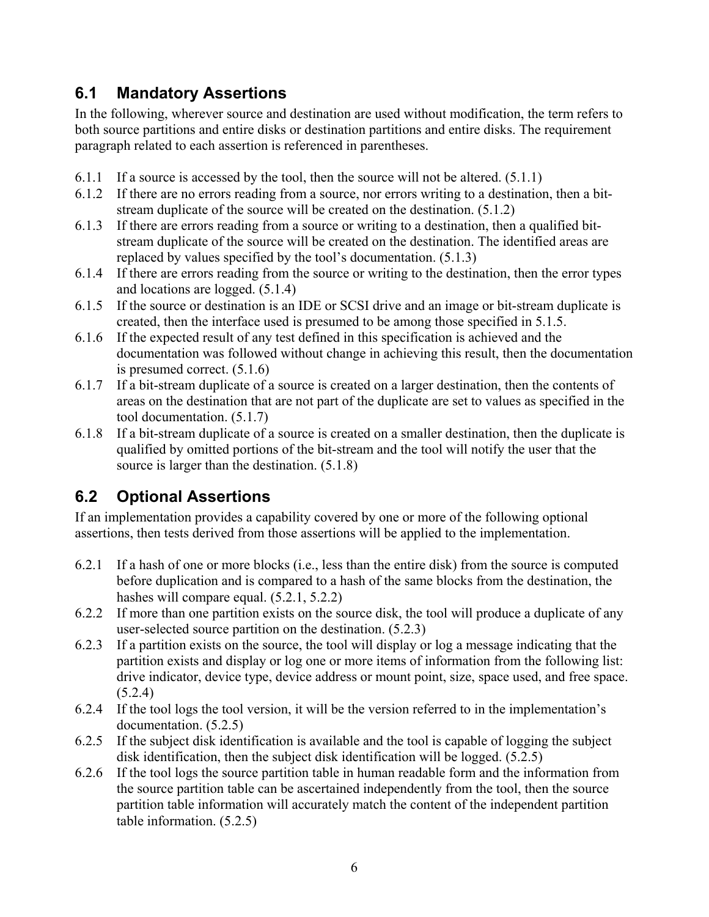### **6.1 Mandatory Assertions**

In the following, wherever source and destination are used without modification, the term refers to both source partitions and entire disks or destination partitions and entire disks. The requirement paragraph related to each assertion is referenced in parentheses.

- 6.1.1 If a source is accessed by the tool, then the source will not be altered. (5.1.1)
- 6.1.2 If there are no errors reading from a source, nor errors writing to a destination, then a bitstream duplicate of the source will be created on the destination. (5.1.2)
- 6.1.3 If there are errors reading from a source or writing to a destination, then a qualified bitstream duplicate of the source will be created on the destination. The identified areas are replaced by values specified by the tool's documentation. (5.1.3)
- 6.1.4 If there are errors reading from the source or writing to the destination, then the error types and locations are logged. (5.1.4)
- 6.1.5 If the source or destination is an IDE or SCSI drive and an image or bit-stream duplicate is created, then the interface used is presumed to be among those specified in 5.1.5.
- 6.1.6 If the expected result of any test defined in this specification is achieved and the documentation was followed without change in achieving this result, then the documentation is presumed correct. (5.1.6)
- 6.1.7 If a bit-stream duplicate of a source is created on a larger destination, then the contents of areas on the destination that are not part of the duplicate are set to values as specified in the tool documentation. (5.1.7)
- 6.1.8 If a bit-stream duplicate of a source is created on a smaller destination, then the duplicate is qualified by omitted portions of the bit-stream and the tool will notify the user that the source is larger than the destination. (5.1.8)

## **6.2 Optional Assertions**

If an implementation provides a capability covered by one or more of the following optional assertions, then tests derived from those assertions will be applied to the implementation.

- 6.2.1 If a hash of one or more blocks (i.e., less than the entire disk) from the source is computed before duplication and is compared to a hash of the same blocks from the destination, the hashes will compare equal.  $(5.2.1, 5.2.2)$
- 6.2.2 If more than one partition exists on the source disk, the tool will produce a duplicate of any user-selected source partition on the destination. (5.2.3)
- 6.2.3 If a partition exists on the source, the tool will display or log a message indicating that the partition exists and display or log one or more items of information from the following list: drive indicator, device type, device address or mount point, size, space used, and free space. (5.2.4)
- 6.2.4 If the tool logs the tool version, it will be the version referred to in the implementation's documentation. (5.2.5)
- 6.2.5 If the subject disk identification is available and the tool is capable of logging the subject disk identification, then the subject disk identification will be logged. (5.2.5)
- 6.2.6 If the tool logs the source partition table in human readable form and the information from the source partition table can be ascertained independently from the tool, then the source partition table information will accurately match the content of the independent partition table information. (5.2.5)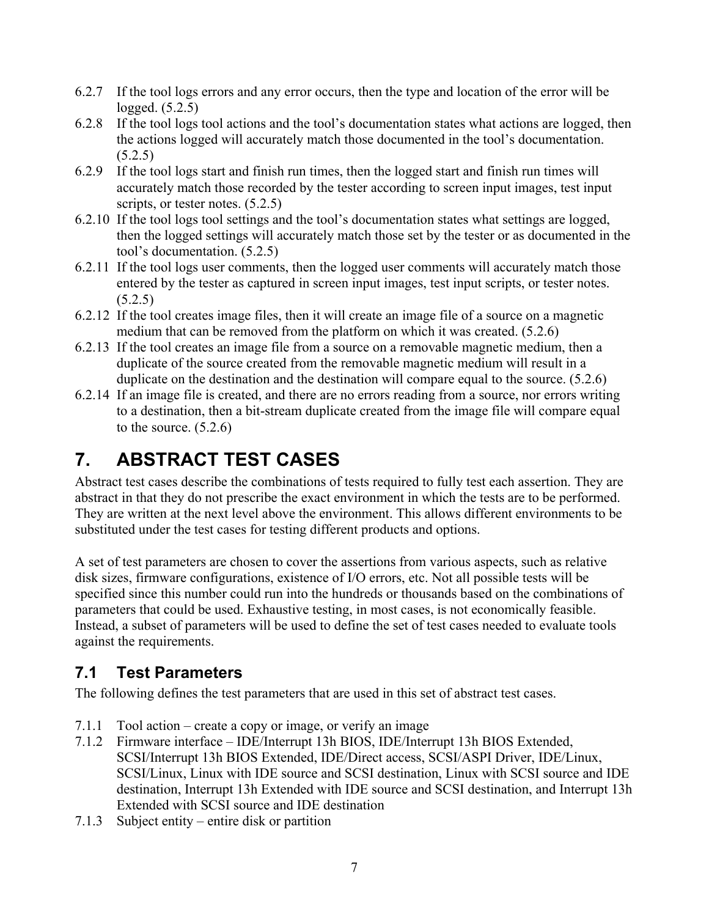- 6.2.7 If the tool logs errors and any error occurs, then the type and location of the error will be logged. (5.2.5)
- 6.2.8 If the tool logs tool actions and the tool's documentation states what actions are logged, then the actions logged will accurately match those documented in the tool's documentation.  $(5.2.5)$
- 6.2.9 If the tool logs start and finish run times, then the logged start and finish run times will accurately match those recorded by the tester according to screen input images, test input scripts, or tester notes.  $(5.2.5)$
- 6.2.10 If the tool logs tool settings and the tool's documentation states what settings are logged, then the logged settings will accurately match those set by the tester or as documented in the tool's documentation. (5.2.5)
- 6.2.11 If the tool logs user comments, then the logged user comments will accurately match those entered by the tester as captured in screen input images, test input scripts, or tester notes.  $(5.2.5)$
- 6.2.12 If the tool creates image files, then it will create an image file of a source on a magnetic medium that can be removed from the platform on which it was created. (5.2.6)
- 6.2.13 If the tool creates an image file from a source on a removable magnetic medium, then a duplicate of the source created from the removable magnetic medium will result in a duplicate on the destination and the destination will compare equal to the source. (5.2.6)
- 6.2.14 If an image file is created, and there are no errors reading from a source, nor errors writing to a destination, then a bit-stream duplicate created from the image file will compare equal to the source.  $(5.2.6)$

# **7. ABSTRACT TEST CASES**

Abstract test cases describe the combinations of tests required to fully test each assertion. They are abstract in that they do not prescribe the exact environment in which the tests are to be performed. They are written at the next level above the environment. This allows different environments to be substituted under the test cases for testing different products and options.

A set of test parameters are chosen to cover the assertions from various aspects, such as relative disk sizes, firmware configurations, existence of I/O errors, etc. Not all possible tests will be specified since this number could run into the hundreds or thousands based on the combinations of parameters that could be used. Exhaustive testing, in most cases, is not economically feasible. Instead, a subset of parameters will be used to define the set of test cases needed to evaluate tools against the requirements.

## **7.1 Test Parameters**

The following defines the test parameters that are used in this set of abstract test cases.

- 7.1.1 Tool action create a copy or image, or verify an image
- 7.1.2 Firmware interface IDE/Interrupt 13h BIOS, IDE/Interrupt 13h BIOS Extended, SCSI/Interrupt 13h BIOS Extended, IDE/Direct access, SCSI/ASPI Driver, IDE/Linux, SCSI/Linux, Linux with IDE source and SCSI destination, Linux with SCSI source and IDE destination, Interrupt 13h Extended with IDE source and SCSI destination, and Interrupt 13h Extended with SCSI source and IDE destination
- 7.1.3 Subject entity entire disk or partition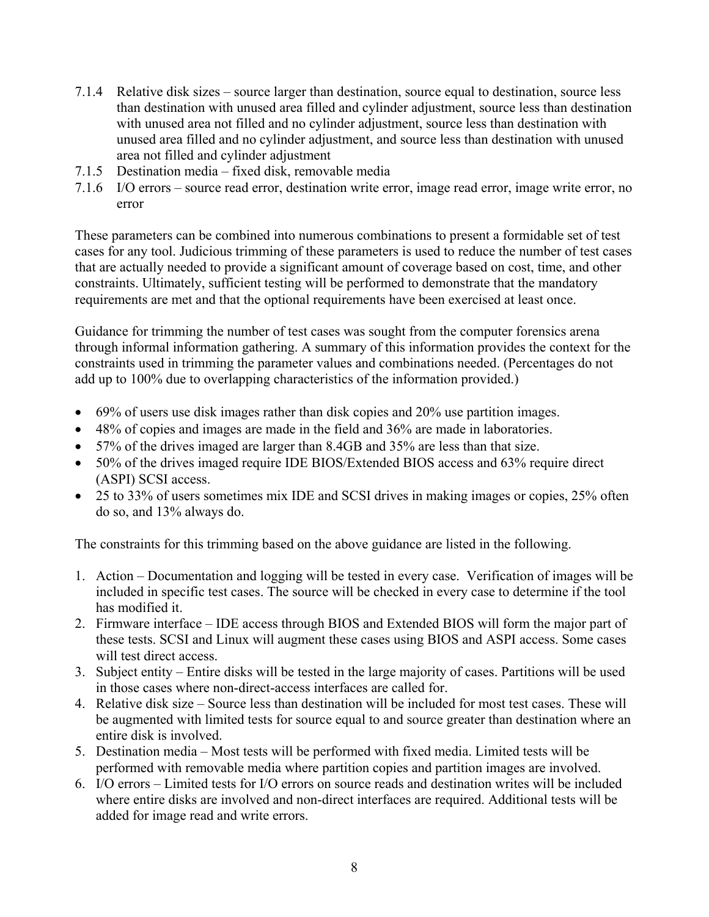- 7.1.4 Relative disk sizes source larger than destination, source equal to destination, source less than destination with unused area filled and cylinder adjustment, source less than destination with unused area not filled and no cylinder adjustment, source less than destination with unused area filled and no cylinder adjustment, and source less than destination with unused area not filled and cylinder adjustment
- 7.1.5 Destination media fixed disk, removable media
- 7.1.6 I/O errors source read error, destination write error, image read error, image write error, no error

These parameters can be combined into numerous combinations to present a formidable set of test cases for any tool. Judicious trimming of these parameters is used to reduce the number of test cases that are actually needed to provide a significant amount of coverage based on cost, time, and other constraints. Ultimately, sufficient testing will be performed to demonstrate that the mandatory requirements are met and that the optional requirements have been exercised at least once.

Guidance for trimming the number of test cases was sought from the computer forensics arena through informal information gathering. A summary of this information provides the context for the constraints used in trimming the parameter values and combinations needed. (Percentages do not add up to 100% due to overlapping characteristics of the information provided.)

- 69% of users use disk images rather than disk copies and 20% use partition images.
- 48% of copies and images are made in the field and 36% are made in laboratories.
- 57% of the drives imaged are larger than 8.4GB and 35% are less than that size.
- 50% of the drives imaged require IDE BIOS/Extended BIOS access and 63% require direct (ASPI) SCSI access.
- 25 to 33% of users sometimes mix IDE and SCSI drives in making images or copies, 25% often do so, and 13% always do.

The constraints for this trimming based on the above guidance are listed in the following.

- 1. Action Documentation and logging will be tested in every case. Verification of images will be included in specific test cases. The source will be checked in every case to determine if the tool has modified it.
- 2. Firmware interface IDE access through BIOS and Extended BIOS will form the major part of these tests. SCSI and Linux will augment these cases using BIOS and ASPI access. Some cases will test direct access.
- 3. Subject entity Entire disks will be tested in the large majority of cases. Partitions will be used in those cases where non-direct-access interfaces are called for.
- 4. Relative disk size Source less than destination will be included for most test cases. These will be augmented with limited tests for source equal to and source greater than destination where an entire disk is involved.
- 5. Destination media Most tests will be performed with fixed media. Limited tests will be performed with removable media where partition copies and partition images are involved.
- 6. I/O errors Limited tests for I/O errors on source reads and destination writes will be included where entire disks are involved and non-direct interfaces are required. Additional tests will be added for image read and write errors.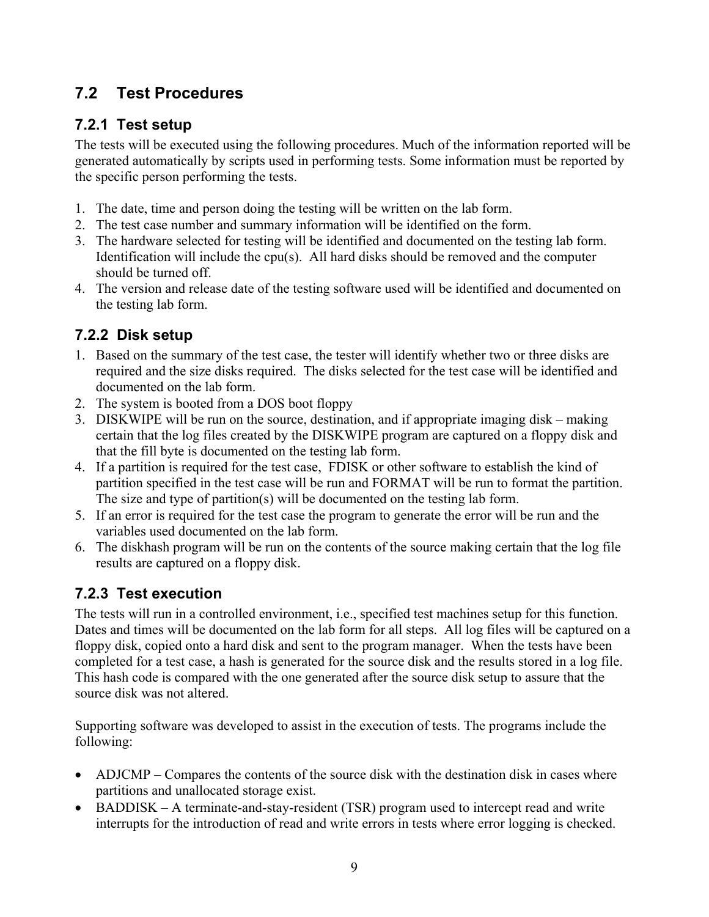## **7.2 Test Procedures**

### **7.2.1 Test setup**

The tests will be executed using the following procedures. Much of the information reported will be generated automatically by scripts used in performing tests. Some information must be reported by the specific person performing the tests.

- 1. The date, time and person doing the testing will be written on the lab form.
- 2. The test case number and summary information will be identified on the form.
- 3. The hardware selected for testing will be identified and documented on the testing lab form. Identification will include the cpu(s). All hard disks should be removed and the computer should be turned off.
- 4. The version and release date of the testing software used will be identified and documented on the testing lab form.

### **7.2.2 Disk setup**

- 1. Based on the summary of the test case, the tester will identify whether two or three disks are required and the size disks required. The disks selected for the test case will be identified and documented on the lab form.
- 2. The system is booted from a DOS boot floppy
- 3. DISKWIPE will be run on the source, destination, and if appropriate imaging disk making certain that the log files created by the DISKWIPE program are captured on a floppy disk and that the fill byte is documented on the testing lab form.
- 4. If a partition is required for the test case, FDISK or other software to establish the kind of partition specified in the test case will be run and FORMAT will be run to format the partition. The size and type of partition(s) will be documented on the testing lab form.
- 5. If an error is required for the test case the program to generate the error will be run and the variables used documented on the lab form.
- 6. The diskhash program will be run on the contents of the source making certain that the log file results are captured on a floppy disk.

### **7.2.3 Test execution**

The tests will run in a controlled environment, i.e., specified test machines setup for this function. Dates and times will be documented on the lab form for all steps. All log files will be captured on a floppy disk, copied onto a hard disk and sent to the program manager. When the tests have been completed for a test case, a hash is generated for the source disk and the results stored in a log file. This hash code is compared with the one generated after the source disk setup to assure that the source disk was not altered.

Supporting software was developed to assist in the execution of tests. The programs include the following:

- ADJCMP Compares the contents of the source disk with the destination disk in cases where partitions and unallocated storage exist.
- BADDISK A terminate-and-stay-resident (TSR) program used to intercept read and write interrupts for the introduction of read and write errors in tests where error logging is checked.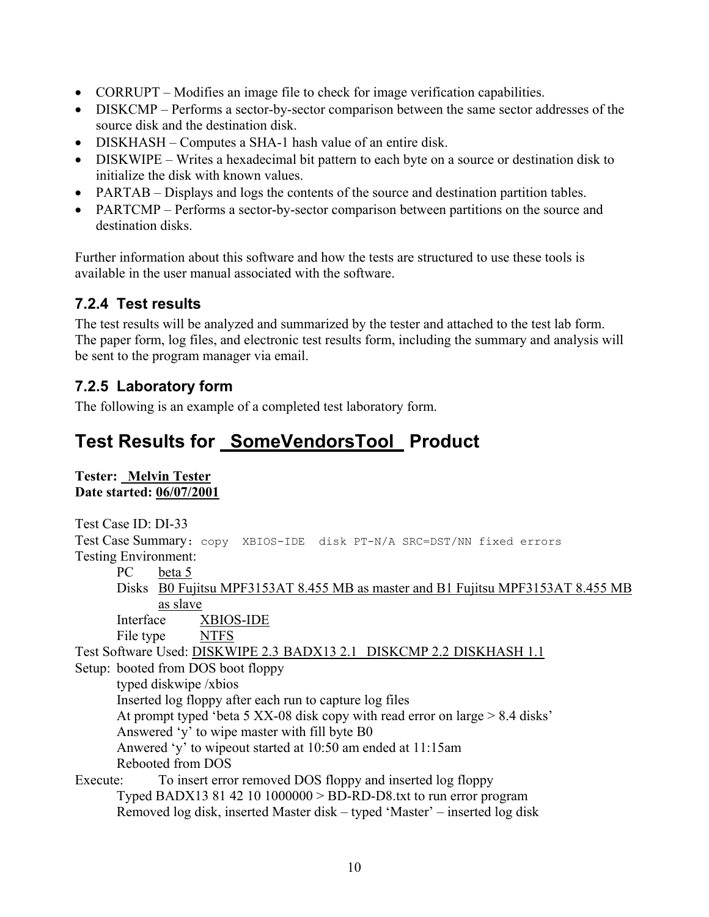- CORRUPT Modifies an image file to check for image verification capabilities.
- DISKCMP Performs a sector-by-sector comparison between the same sector addresses of the source disk and the destination disk.
- DISKHASH Computes a SHA-1 hash value of an entire disk.
- DISKWIPE Writes a hexadecimal bit pattern to each byte on a source or destination disk to initialize the disk with known values.
- PARTAB Displays and logs the contents of the source and destination partition tables.
- PARTCMP Performs a sector-by-sector comparison between partitions on the source and destination disks.

Further information about this software and how the tests are structured to use these tools is available in the user manual associated with the software.

#### **7.2.4 Test results**

The test results will be analyzed and summarized by the tester and attached to the test lab form. The paper form, log files, and electronic test results form, including the summary and analysis will be sent to the program manager via email.

#### **7.2.5 Laboratory form**

The following is an example of a completed test laboratory form.

## **Test Results for SomeVendorsTool Product**

#### **Tester: Melvin Tester Date started: 06/07/2001**

Test Case ID: DI-33 Test Case Summary: copy XBIOS-IDE disk PT-N/A SRC=DST/NN fixed errors Testing Environment: PC beta 5 Disks B0 Fujitsu MPF3153AT 8.455 MB as master and B1 Fujitsu MPF3153AT 8.455 MB as slave Interface XBIOS-IDE File type NTFS Test Software Used: DISKWIPE 2.3 BADX13 2.1 DISKCMP 2.2 DISKHASH 1.1 Setup: booted from DOS boot floppy typed diskwipe /xbios Inserted log floppy after each run to capture log files At prompt typed 'beta 5 XX-08 disk copy with read error on large > 8.4 disks' Answered 'y' to wipe master with fill byte B0 Anwered 'y' to wipeout started at 10:50 am ended at 11:15am Rebooted from DOS Execute: To insert error removed DOS floppy and inserted log floppy Typed BADX13 81 42 10 1000000 > BD-RD-D8.txt to run error program Removed log disk, inserted Master disk – typed 'Master' – inserted log disk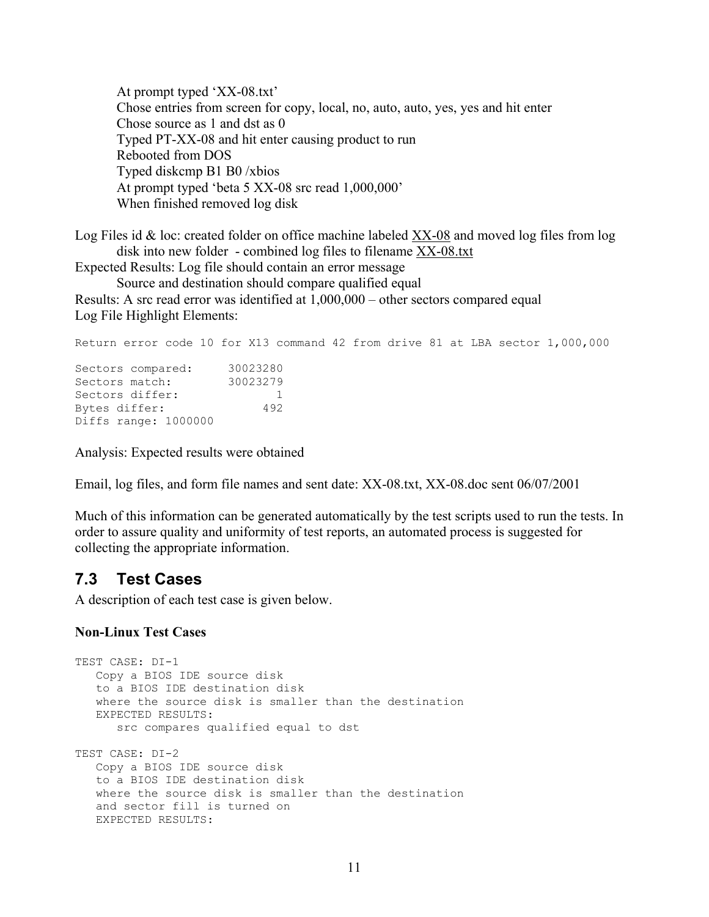At prompt typed 'XX-08.txt' Chose entries from screen for copy, local, no, auto, auto, yes, yes and hit enter Chose source as 1 and dst as 0 Typed PT-XX-08 and hit enter causing product to run Rebooted from DOS Typed diskcmp B1 B0 /xbios At prompt typed 'beta 5 XX-08 src read 1,000,000' When finished removed log disk

Log Files id & loc: created folder on office machine labeled XX-08 and moved log files from log disk into new folder - combined log files to filename XX-08.txt

Expected Results: Log file should contain an error message

Source and destination should compare qualified equal Results: A src read error was identified at 1,000,000 – other sectors compared equal Log File Highlight Elements:

Return error code 10 for X13 command 42 from drive 81 at LBA sector 1,000,000 Sectors compared: 30023280 Sectors match: 30023279<br>Sectors differ: 1<br>Bytes differ: 1 Sectors differ: Bytes differ: Diffs range: 1000000

Analysis: Expected results were obtained

Email, log files, and form file names and sent date: XX-08.txt, XX-08.doc sent 06/07/2001

Much of this information can be generated automatically by the test scripts used to run the tests. In order to assure quality and uniformity of test reports, an automated process is suggested for collecting the appropriate information.

#### **7.3 Test Cases**

A description of each test case is given below.

#### **Non-Linux Test Cases**

```
TEST CASE: DI-1 
    Copy a BIOS IDE source disk 
    to a BIOS IDE destination disk 
    where the source disk is smaller than the destination 
    EXPECTED RESULTS: 
       src compares qualified equal to dst 
TEST CASE: DI-2 
   Copy a BIOS IDE source disk 
    to a BIOS IDE destination disk 
   where the source disk is smaller than the destination 
    and sector fill is turned on 
    EXPECTED RESULTS:
```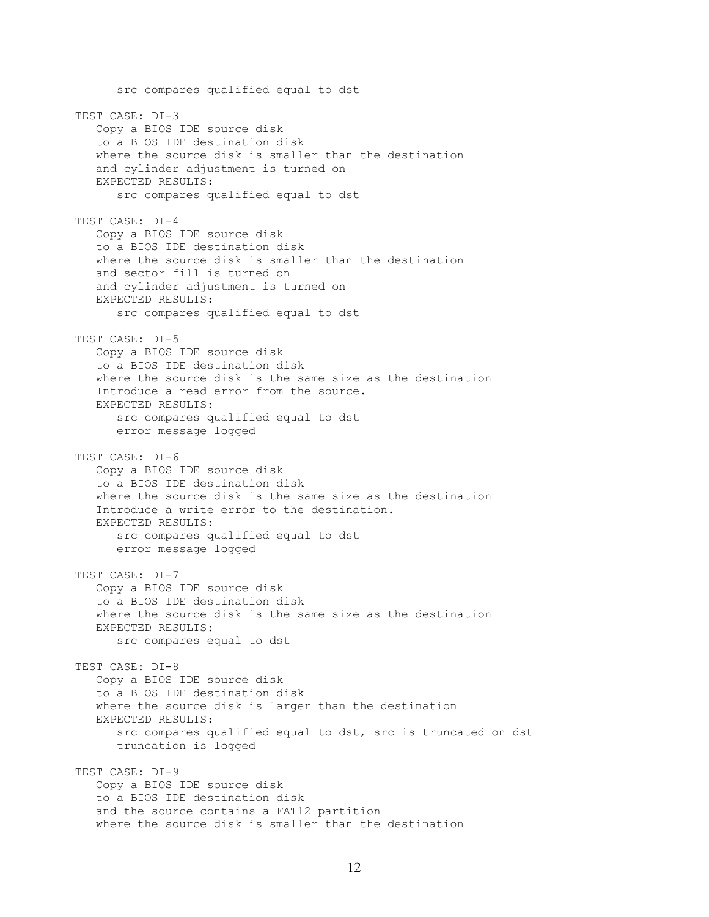src compares qualified equal to dst TEST CASE: DI-3 Copy a BIOS IDE source disk to a BIOS IDE destination disk where the source disk is smaller than the destination and cylinder adjustment is turned on EXPECTED RESULTS: src compares qualified equal to dst TEST CASE: DI-4 Copy a BIOS IDE source disk to a BIOS IDE destination disk where the source disk is smaller than the destination and sector fill is turned on and cylinder adjustment is turned on EXPECTED RESULTS: src compares qualified equal to dst TEST CASE: DI-5 Copy a BIOS IDE source disk to a BIOS IDE destination disk where the source disk is the same size as the destination Introduce a read error from the source. EXPECTED RESULTS: src compares qualified equal to dst error message logged TEST CASE: DI-6 Copy a BIOS IDE source disk to a BIOS IDE destination disk where the source disk is the same size as the destination Introduce a write error to the destination. EXPECTED RESULTS: src compares qualified equal to dst error message logged TEST CASE: DI-7 Copy a BIOS IDE source disk to a BIOS IDE destination disk where the source disk is the same size as the destination EXPECTED RESULTS: src compares equal to dst TEST CASE: DI-8 Copy a BIOS IDE source disk to a BIOS IDE destination disk where the source disk is larger than the destination EXPECTED RESULTS: src compares qualified equal to dst, src is truncated on dst truncation is logged TEST CASE: DI-9 Copy a BIOS IDE source disk to a BIOS IDE destination disk and the source contains a FAT12 partition where the source disk is smaller than the destination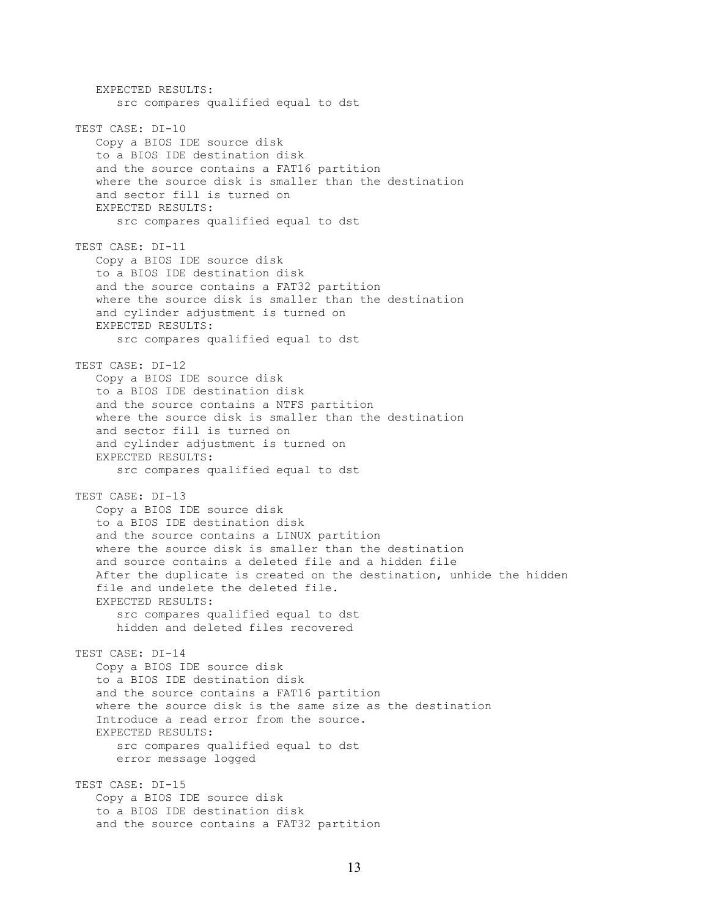EXPECTED RESULTS: src compares qualified equal to dst TEST CASE: DI-10 Copy a BIOS IDE source disk to a BIOS IDE destination disk and the source contains a FAT16 partition where the source disk is smaller than the destination and sector fill is turned on EXPECTED RESULTS: src compares qualified equal to dst TEST CASE: DI-11 Copy a BIOS IDE source disk to a BIOS IDE destination disk and the source contains a FAT32 partition where the source disk is smaller than the destination and cylinder adjustment is turned on EXPECTED RESULTS: src compares qualified equal to dst TEST CASE: DI-12 Copy a BIOS IDE source disk to a BIOS IDE destination disk and the source contains a NTFS partition where the source disk is smaller than the destination and sector fill is turned on and cylinder adjustment is turned on EXPECTED RESULTS: src compares qualified equal to dst TEST CASE: DI-13 Copy a BIOS IDE source disk to a BIOS IDE destination disk and the source contains a LINUX partition where the source disk is smaller than the destination and source contains a deleted file and a hidden file After the duplicate is created on the destination, unhide the hidden file and undelete the deleted file. EXPECTED RESULTS: src compares qualified equal to dst hidden and deleted files recovered TEST CASE: DI-14 Copy a BIOS IDE source disk to a BIOS IDE destination disk and the source contains a FAT16 partition where the source disk is the same size as the destination Introduce a read error from the source. EXPECTED RESULTS: src compares qualified equal to dst error message logged TEST CASE: DI-15 Copy a BIOS IDE source disk to a BIOS IDE destination disk and the source contains a FAT32 partition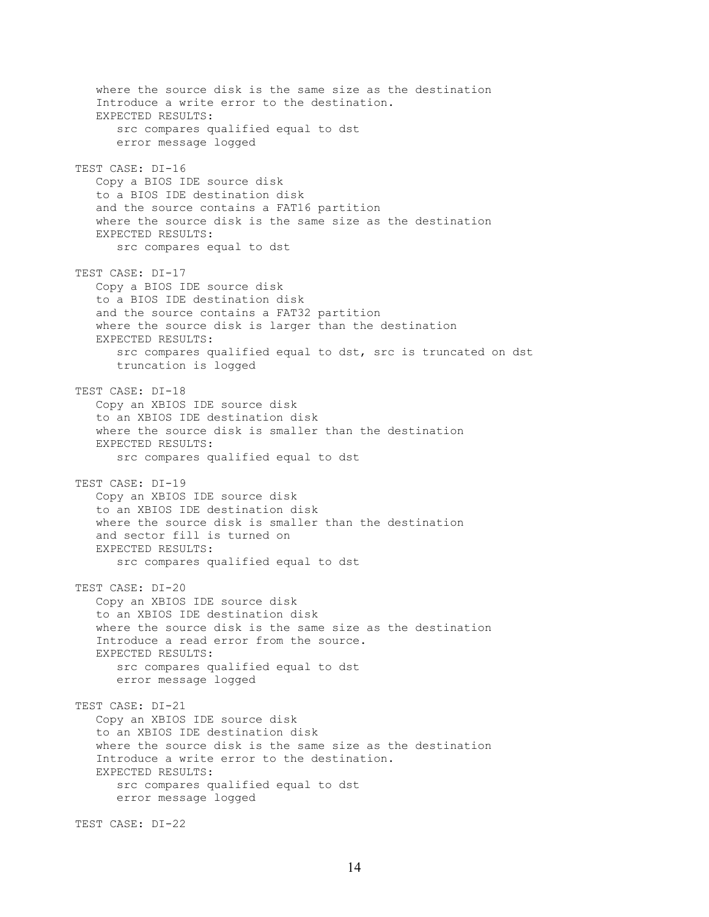where the source disk is the same size as the destination Introduce a write error to the destination. EXPECTED RESULTS: src compares qualified equal to dst error message logged TEST CASE: DI-16 Copy a BIOS IDE source disk to a BIOS IDE destination disk and the source contains a FAT16 partition where the source disk is the same size as the destination EXPECTED RESULTS: src compares equal to dst TEST CASE: DI-17 Copy a BIOS IDE source disk to a BIOS IDE destination disk and the source contains a FAT32 partition where the source disk is larger than the destination EXPECTED RESULTS: src compares qualified equal to dst, src is truncated on dst truncation is logged TEST CASE: DI-18 Copy an XBIOS IDE source disk to an XBIOS IDE destination disk where the source disk is smaller than the destination EXPECTED RESULTS: src compares qualified equal to dst TEST CASE: DI-19 Copy an XBIOS IDE source disk to an XBIOS IDE destination disk where the source disk is smaller than the destination and sector fill is turned on EXPECTED RESULTS: src compares qualified equal to dst TEST CASE: DI-20 Copy an XBIOS IDE source disk to an XBIOS IDE destination disk where the source disk is the same size as the destination Introduce a read error from the source. EXPECTED RESULTS: src compares qualified equal to dst error message logged TEST CASE: DI-21 Copy an XBIOS IDE source disk to an XBIOS IDE destination disk where the source disk is the same size as the destination Introduce a write error to the destination. EXPECTED RESULTS: src compares qualified equal to dst error message logged

TEST CASE: DI-22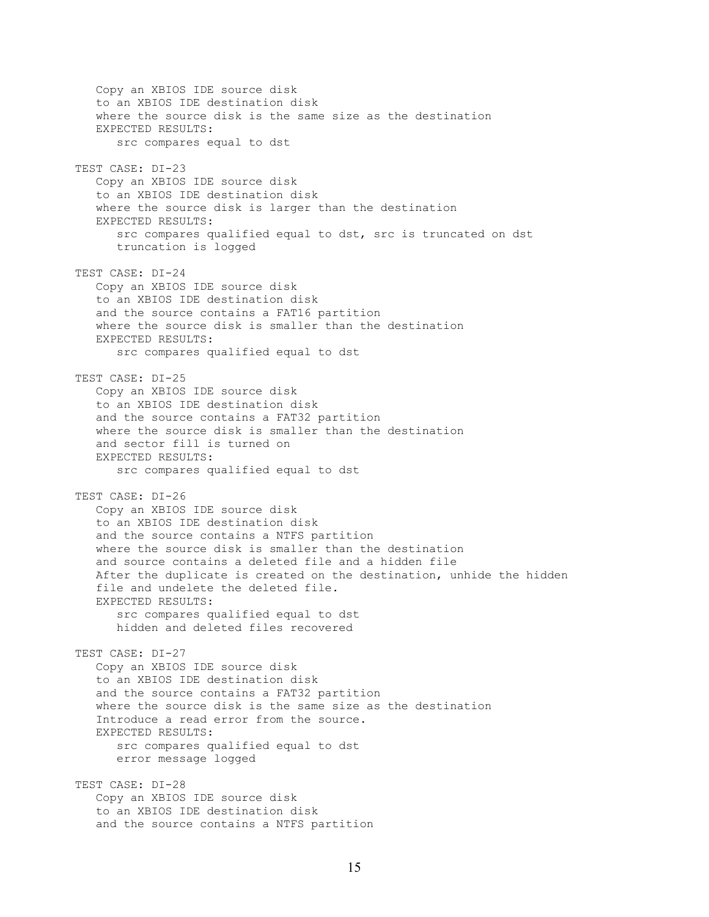Copy an XBIOS IDE source disk to an XBIOS IDE destination disk where the source disk is the same size as the destination EXPECTED RESULTS: src compares equal to dst TEST CASE: DI-23 Copy an XBIOS IDE source disk to an XBIOS IDE destination disk where the source disk is larger than the destination EXPECTED RESULTS: src compares qualified equal to dst, src is truncated on dst truncation is logged TEST CASE: DI-24 Copy an XBIOS IDE source disk to an XBIOS IDE destination disk and the source contains a FAT16 partition where the source disk is smaller than the destination EXPECTED RESULTS: src compares qualified equal to dst TEST CASE: DI-25 Copy an XBIOS IDE source disk to an XBIOS IDE destination disk and the source contains a FAT32 partition where the source disk is smaller than the destination and sector fill is turned on EXPECTED RESULTS: src compares qualified equal to dst TEST CASE: DI-26 Copy an XBIOS IDE source disk to an XBIOS IDE destination disk and the source contains a NTFS partition where the source disk is smaller than the destination and source contains a deleted file and a hidden file After the duplicate is created on the destination, unhide the hidden file and undelete the deleted file. EXPECTED RESULTS: src compares qualified equal to dst hidden and deleted files recovered TEST CASE: DI-27 Copy an XBIOS IDE source disk to an XBIOS IDE destination disk and the source contains a FAT32 partition where the source disk is the same size as the destination Introduce a read error from the source. EXPECTED RESULTS: src compares qualified equal to dst error message logged TEST CASE: DI-28 Copy an XBIOS IDE source disk to an XBIOS IDE destination disk and the source contains a NTFS partition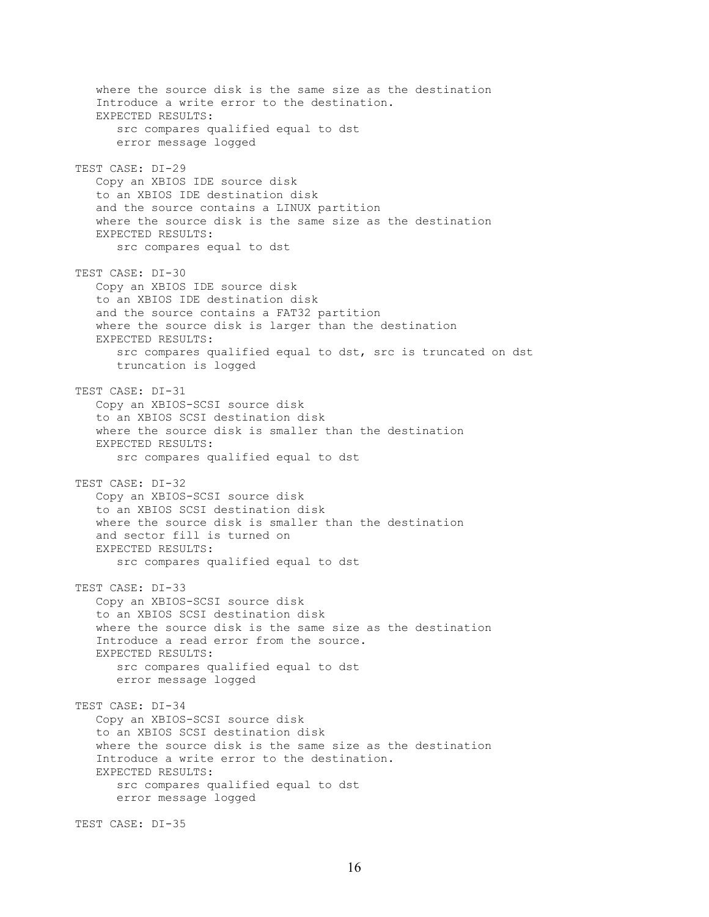where the source disk is the same size as the destination Introduce a write error to the destination. EXPECTED RESULTS: src compares qualified equal to dst error message logged TEST CASE: DI-29 Copy an XBIOS IDE source disk to an XBIOS IDE destination disk and the source contains a LINUX partition where the source disk is the same size as the destination EXPECTED RESULTS: src compares equal to dst TEST CASE: DI-30 Copy an XBIOS IDE source disk to an XBIOS IDE destination disk and the source contains a FAT32 partition where the source disk is larger than the destination EXPECTED RESULTS: src compares qualified equal to dst, src is truncated on dst truncation is logged TEST CASE: DI-31 Copy an XBIOS-SCSI source disk to an XBIOS SCSI destination disk where the source disk is smaller than the destination EXPECTED RESULTS: src compares qualified equal to dst TEST CASE: DI-32 Copy an XBIOS-SCSI source disk to an XBIOS SCSI destination disk where the source disk is smaller than the destination and sector fill is turned on EXPECTED RESULTS: src compares qualified equal to dst TEST CASE: DI-33 Copy an XBIOS-SCSI source disk to an XBIOS SCSI destination disk where the source disk is the same size as the destination Introduce a read error from the source. EXPECTED RESULTS: src compares qualified equal to dst error message logged TEST CASE: DI-34 Copy an XBIOS-SCSI source disk to an XBIOS SCSI destination disk where the source disk is the same size as the destination Introduce a write error to the destination. EXPECTED RESULTS: src compares qualified equal to dst error message logged

TEST CASE: DI-35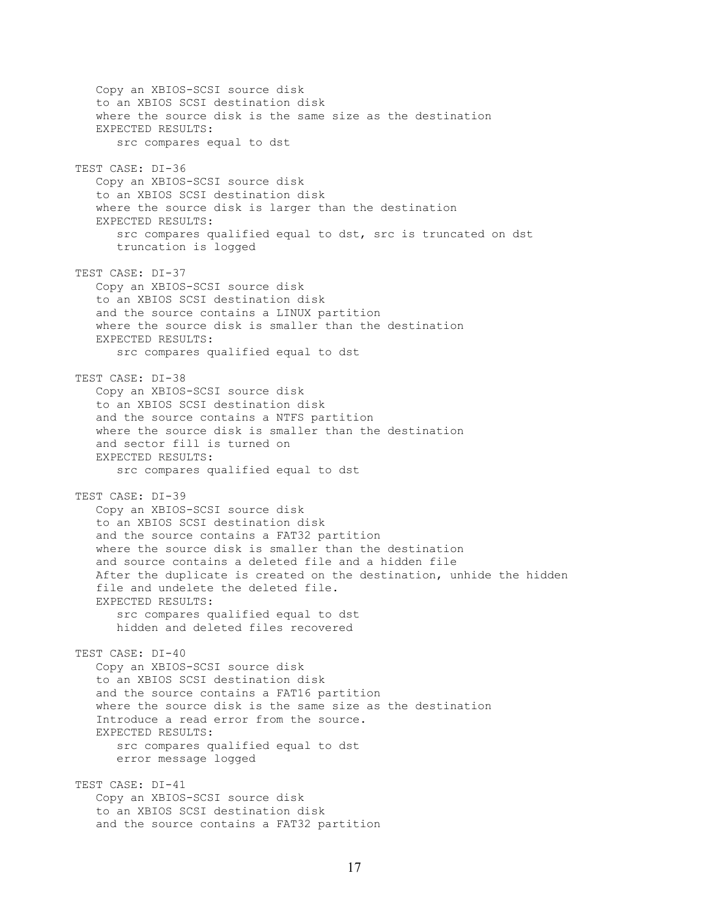Copy an XBIOS-SCSI source disk to an XBIOS SCSI destination disk where the source disk is the same size as the destination EXPECTED RESULTS: src compares equal to dst TEST CASE: DI-36 Copy an XBIOS-SCSI source disk to an XBIOS SCSI destination disk where the source disk is larger than the destination EXPECTED RESULTS: src compares qualified equal to dst, src is truncated on dst truncation is logged TEST CASE: DI-37 Copy an XBIOS-SCSI source disk to an XBIOS SCSI destination disk and the source contains a LINUX partition where the source disk is smaller than the destination EXPECTED RESULTS: src compares qualified equal to dst TEST CASE: DI-38 Copy an XBIOS-SCSI source disk to an XBIOS SCSI destination disk and the source contains a NTFS partition where the source disk is smaller than the destination and sector fill is turned on EXPECTED RESULTS: src compares qualified equal to dst TEST CASE: DI-39 Copy an XBIOS-SCSI source disk to an XBIOS SCSI destination disk and the source contains a FAT32 partition where the source disk is smaller than the destination and source contains a deleted file and a hidden file After the duplicate is created on the destination, unhide the hidden file and undelete the deleted file. EXPECTED RESULTS: src compares qualified equal to dst hidden and deleted files recovered TEST CASE: DI-40 Copy an XBIOS-SCSI source disk to an XBIOS SCSI destination disk and the source contains a FAT16 partition where the source disk is the same size as the destination Introduce a read error from the source. EXPECTED RESULTS: src compares qualified equal to dst error message logged TEST CASE: DI-41 Copy an XBIOS-SCSI source disk to an XBIOS SCSI destination disk and the source contains a FAT32 partition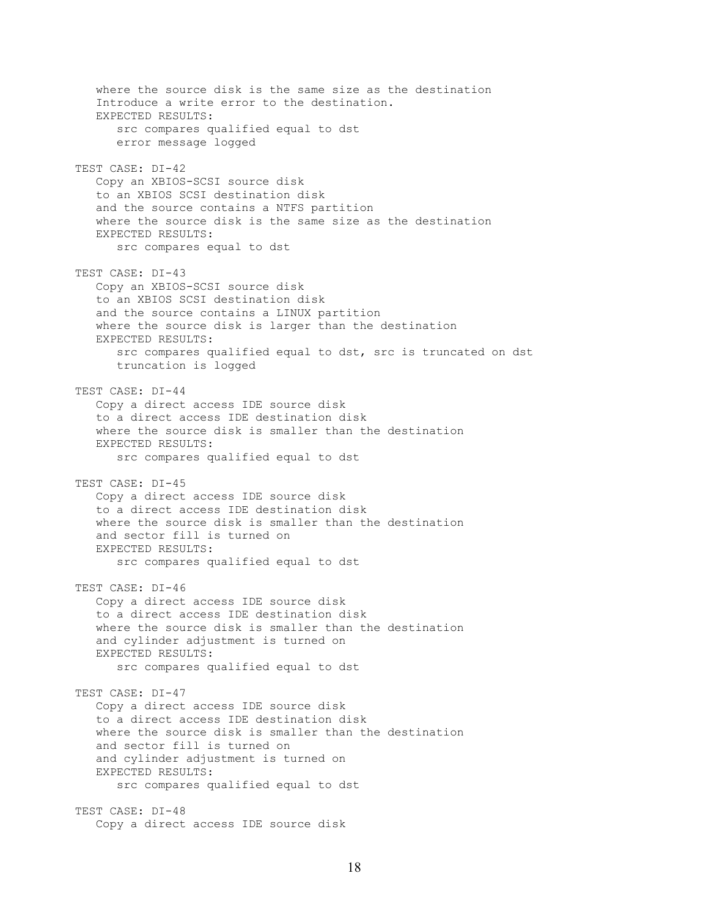where the source disk is the same size as the destination Introduce a write error to the destination. EXPECTED RESULTS: src compares qualified equal to dst error message logged TEST CASE: DI-42 Copy an XBIOS-SCSI source disk to an XBIOS SCSI destination disk and the source contains a NTFS partition where the source disk is the same size as the destination EXPECTED RESULTS: src compares equal to dst TEST CASE: DI-43 Copy an XBIOS-SCSI source disk to an XBIOS SCSI destination disk and the source contains a LINUX partition where the source disk is larger than the destination EXPECTED RESULTS: src compares qualified equal to dst, src is truncated on dst truncation is logged TEST CASE: DI-44 Copy a direct access IDE source disk to a direct access IDE destination disk where the source disk is smaller than the destination EXPECTED RESULTS: src compares qualified equal to dst TEST CASE: DI-45 Copy a direct access IDE source disk to a direct access IDE destination disk where the source disk is smaller than the destination and sector fill is turned on EXPECTED RESULTS: src compares qualified equal to dst TEST CASE: DI-46 Copy a direct access IDE source disk to a direct access IDE destination disk where the source disk is smaller than the destination and cylinder adjustment is turned on EXPECTED RESULTS: src compares qualified equal to dst TEST CASE: DI-47 Copy a direct access IDE source disk to a direct access IDE destination disk where the source disk is smaller than the destination and sector fill is turned on and cylinder adjustment is turned on EXPECTED RESULTS: src compares qualified equal to dst TEST CASE: DI-48 Copy a direct access IDE source disk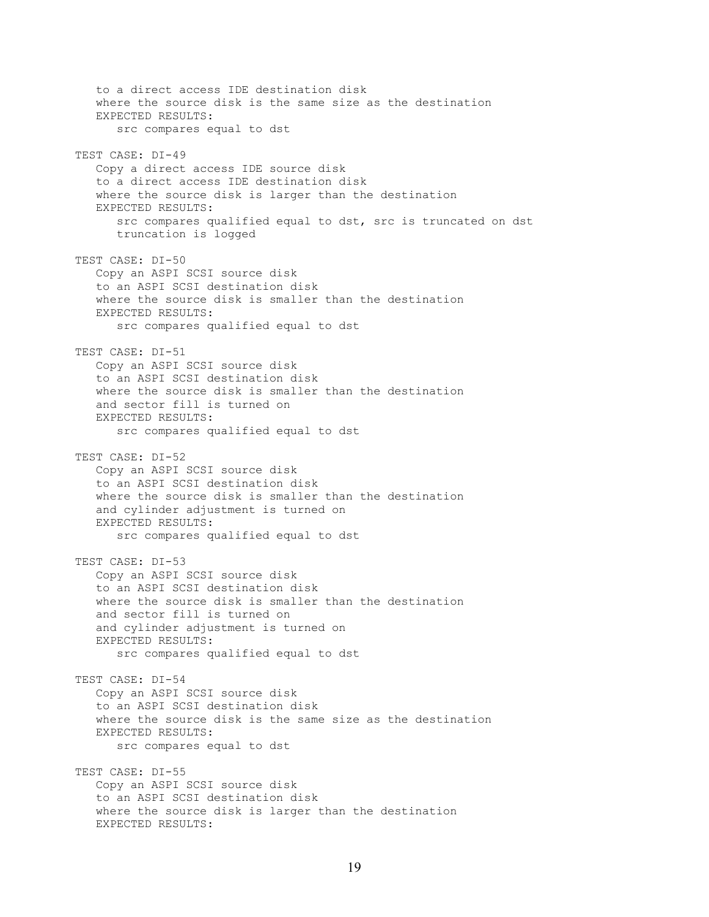to a direct access IDE destination disk where the source disk is the same size as the destination EXPECTED RESULTS: src compares equal to dst TEST CASE: DI-49 Copy a direct access IDE source disk to a direct access IDE destination disk where the source disk is larger than the destination EXPECTED RESULTS: src compares qualified equal to dst, src is truncated on dst truncation is logged TEST CASE: DI-50 Copy an ASPI SCSI source disk to an ASPI SCSI destination disk where the source disk is smaller than the destination EXPECTED RESULTS: src compares qualified equal to dst TEST CASE: DI-51 Copy an ASPI SCSI source disk to an ASPI SCSI destination disk where the source disk is smaller than the destination and sector fill is turned on EXPECTED RESULTS: src compares qualified equal to dst TEST CASE: DI-52 Copy an ASPI SCSI source disk to an ASPI SCSI destination disk where the source disk is smaller than the destination and cylinder adjustment is turned on EXPECTED RESULTS: src compares qualified equal to dst TEST CASE: DI-53 Copy an ASPI SCSI source disk to an ASPI SCSI destination disk where the source disk is smaller than the destination and sector fill is turned on and cylinder adjustment is turned on EXPECTED RESULTS: src compares qualified equal to dst TEST CASE: DI-54 Copy an ASPI SCSI source disk to an ASPI SCSI destination disk where the source disk is the same size as the destination EXPECTED RESULTS: src compares equal to dst TEST CASE: DI-55 Copy an ASPI SCSI source disk to an ASPI SCSI destination disk where the source disk is larger than the destination EXPECTED RESULTS: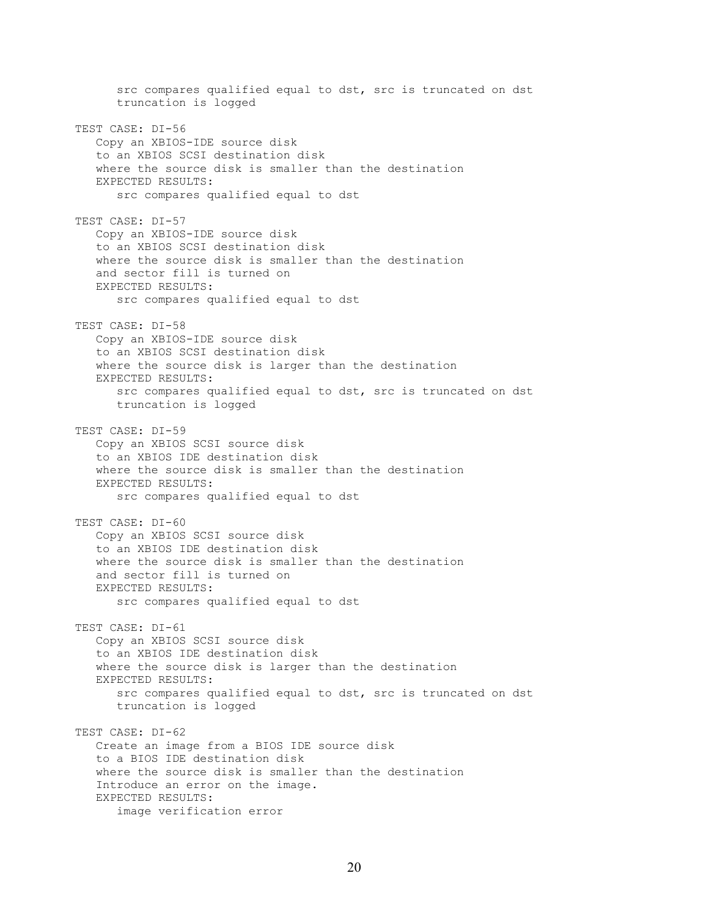src compares qualified equal to dst, src is truncated on dst truncation is logged TEST CASE: DI-56 Copy an XBIOS-IDE source disk to an XBIOS SCSI destination disk where the source disk is smaller than the destination EXPECTED RESULTS: src compares qualified equal to dst TEST CASE: DI-57 Copy an XBIOS-IDE source disk to an XBIOS SCSI destination disk where the source disk is smaller than the destination and sector fill is turned on EXPECTED RESULTS: src compares qualified equal to dst TEST CASE: DI-58 Copy an XBIOS-IDE source disk to an XBIOS SCSI destination disk where the source disk is larger than the destination EXPECTED RESULTS: src compares qualified equal to dst, src is truncated on dst truncation is logged TEST CASE: DI-59 Copy an XBIOS SCSI source disk to an XBIOS IDE destination disk where the source disk is smaller than the destination EXPECTED RESULTS: src compares qualified equal to dst TEST CASE: DI-60 Copy an XBIOS SCSI source disk to an XBIOS IDE destination disk where the source disk is smaller than the destination and sector fill is turned on EXPECTED RESULTS: src compares qualified equal to dst TEST CASE: DI-61 Copy an XBIOS SCSI source disk to an XBIOS IDE destination disk where the source disk is larger than the destination EXPECTED RESULTS: src compares qualified equal to dst, src is truncated on dst truncation is logged TEST CASE: DI-62 Create an image from a BIOS IDE source disk to a BIOS IDE destination disk where the source disk is smaller than the destination Introduce an error on the image. EXPECTED RESULTS: image verification error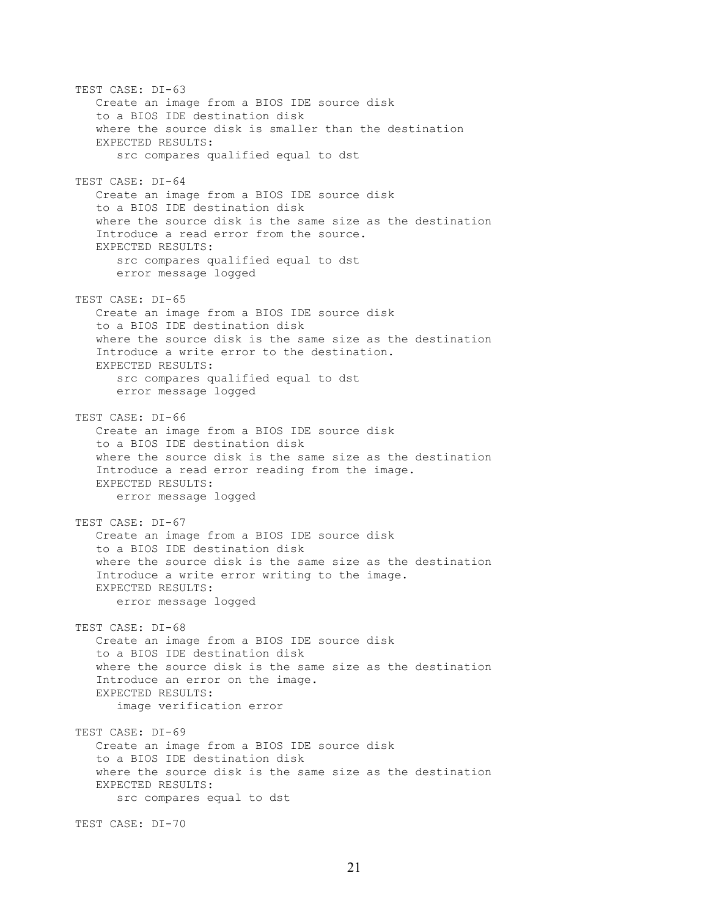TEST CASE: DI-63 Create an image from a BIOS IDE source disk to a BIOS IDE destination disk where the source disk is smaller than the destination EXPECTED RESULTS: src compares qualified equal to dst TEST CASE: DI-64 Create an image from a BIOS IDE source disk to a BIOS IDE destination disk where the source disk is the same size as the destination Introduce a read error from the source. EXPECTED RESULTS: src compares qualified equal to dst error message logged TEST CASE: DI-65 Create an image from a BIOS IDE source disk to a BIOS IDE destination disk where the source disk is the same size as the destination Introduce a write error to the destination. EXPECTED RESULTS: src compares qualified equal to dst error message logged TEST CASE: DI-66 Create an image from a BIOS IDE source disk to a BIOS IDE destination disk where the source disk is the same size as the destination Introduce a read error reading from the image. EXPECTED RESULTS: error message logged TEST CASE: DI-67 Create an image from a BIOS IDE source disk to a BIOS IDE destination disk where the source disk is the same size as the destination Introduce a write error writing to the image. EXPECTED RESULTS: error message logged TEST CASE: DI-68 Create an image from a BIOS IDE source disk to a BIOS IDE destination disk where the source disk is the same size as the destination Introduce an error on the image. EXPECTED RESULTS: image verification error TEST CASE: DI-69 Create an image from a BIOS IDE source disk to a BIOS IDE destination disk where the source disk is the same size as the destination EXPECTED RESULTS: src compares equal to dst TEST CASE: DI-70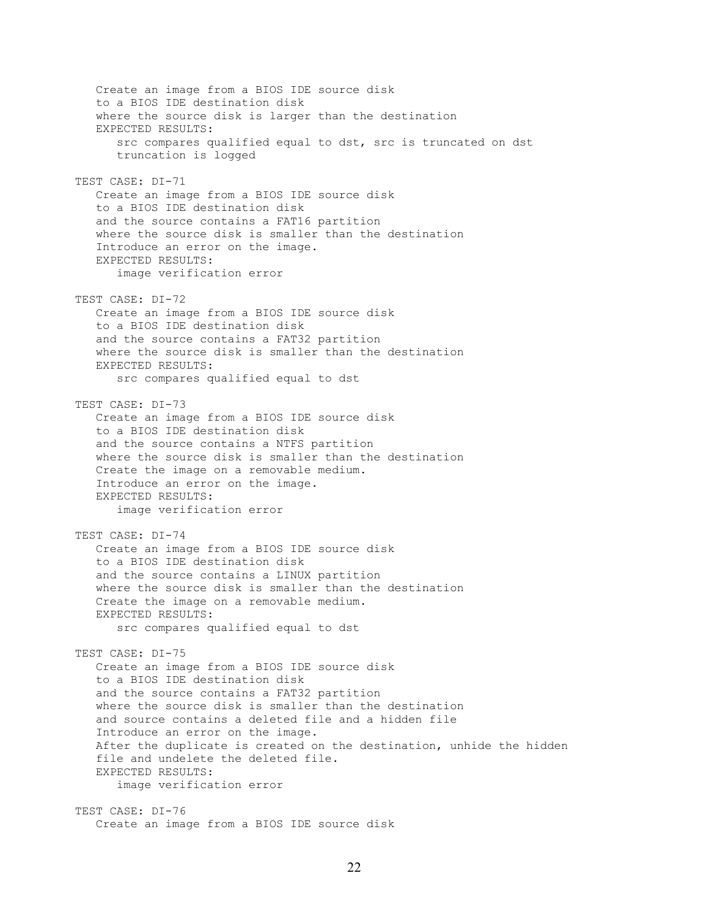Create an image from a BIOS IDE source disk to a BIOS IDE destination disk where the source disk is larger than the destination EXPECTED RESULTS: src compares qualified equal to dst, src is truncated on dst truncation is logged TEST CASE: DI-71 Create an image from a BIOS IDE source disk to a BIOS IDE destination disk and the source contains a FAT16 partition where the source disk is smaller than the destination Introduce an error on the image. EXPECTED RESULTS: image verification error TEST CASE: DI-72 Create an image from a BIOS IDE source disk to a BIOS IDE destination disk and the source contains a FAT32 partition where the source disk is smaller than the destination EXPECTED RESULTS: src compares qualified equal to dst TEST CASE: DI-73 Create an image from a BIOS IDE source disk to a BIOS IDE destination disk and the source contains a NTFS partition where the source disk is smaller than the destination Create the image on a removable medium. Introduce an error on the image. EXPECTED RESULTS: image verification error TEST CASE: DI-74 Create an image from a BIOS IDE source disk to a BIOS IDE destination disk and the source contains a LINUX partition where the source disk is smaller than the destination Create the image on a removable medium. EXPECTED RESULTS: src compares qualified equal to dst TEST CASE: DI-75 Create an image from a BIOS IDE source disk to a BIOS IDE destination disk and the source contains a FAT32 partition where the source disk is smaller than the destination and source contains a deleted file and a hidden file Introduce an error on the image. After the duplicate is created on the destination, unhide the hidden file and undelete the deleted file. EXPECTED RESULTS: image verification error TEST CASE: DI-76 Create an image from a BIOS IDE source disk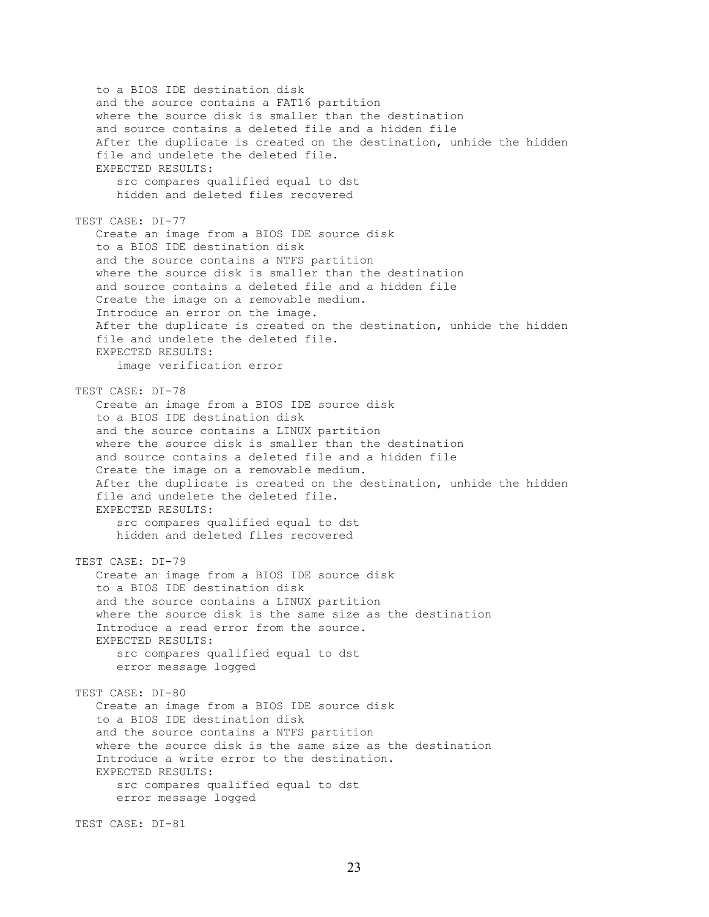to a BIOS IDE destination disk and the source contains a FAT16 partition where the source disk is smaller than the destination and source contains a deleted file and a hidden file After the duplicate is created on the destination, unhide the hidden file and undelete the deleted file. EXPECTED RESULTS: src compares qualified equal to dst hidden and deleted files recovered TEST CASE: DI-77 Create an image from a BIOS IDE source disk to a BIOS IDE destination disk and the source contains a NTFS partition where the source disk is smaller than the destination and source contains a deleted file and a hidden file Create the image on a removable medium. Introduce an error on the image. After the duplicate is created on the destination, unhide the hidden file and undelete the deleted file. EXPECTED RESULTS: image verification error TEST CASE: DI-78 Create an image from a BIOS IDE source disk to a BIOS IDE destination disk and the source contains a LINUX partition where the source disk is smaller than the destination and source contains a deleted file and a hidden file Create the image on a removable medium. After the duplicate is created on the destination, unhide the hidden file and undelete the deleted file. EXPECTED RESULTS: src compares qualified equal to dst hidden and deleted files recovered TEST CASE: DI-79 Create an image from a BIOS IDE source disk to a BIOS IDE destination disk and the source contains a LINUX partition where the source disk is the same size as the destination Introduce a read error from the source. EXPECTED RESULTS: src compares qualified equal to dst error message logged TEST CASE: DI-80 Create an image from a BIOS IDE source disk to a BIOS IDE destination disk and the source contains a NTFS partition where the source disk is the same size as the destination Introduce a write error to the destination. EXPECTED RESULTS: src compares qualified equal to dst error message logged

TEST CASE: DI-81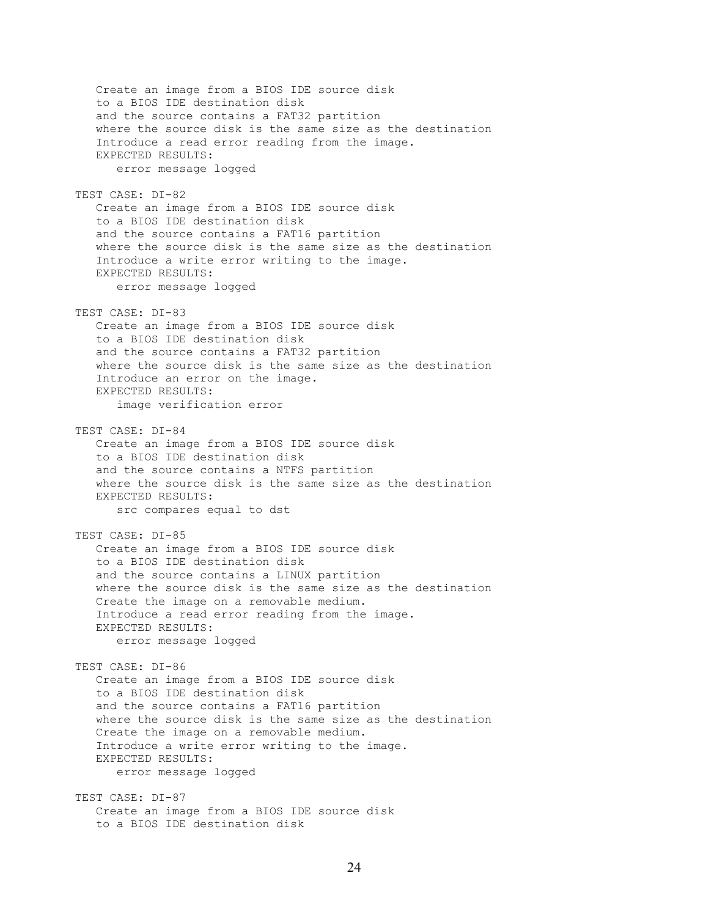Create an image from a BIOS IDE source disk to a BIOS IDE destination disk and the source contains a FAT32 partition where the source disk is the same size as the destination Introduce a read error reading from the image. EXPECTED RESULTS: error message logged TEST CASE: DI-82 Create an image from a BIOS IDE source disk to a BIOS IDE destination disk and the source contains a FAT16 partition where the source disk is the same size as the destination Introduce a write error writing to the image. EXPECTED RESULTS: error message logged TEST CASE: DI-83 Create an image from a BIOS IDE source disk to a BIOS IDE destination disk and the source contains a FAT32 partition where the source disk is the same size as the destination Introduce an error on the image. EXPECTED RESULTS: image verification error TEST CASE: DI-84 Create an image from a BIOS IDE source disk to a BIOS IDE destination disk and the source contains a NTFS partition where the source disk is the same size as the destination EXPECTED RESULTS: src compares equal to dst TEST CASE: DI-85 Create an image from a BIOS IDE source disk to a BIOS IDE destination disk and the source contains a LINUX partition where the source disk is the same size as the destination Create the image on a removable medium. Introduce a read error reading from the image. EXPECTED RESULTS: error message logged TEST CASE: DI-86 Create an image from a BIOS IDE source disk to a BIOS IDE destination disk and the source contains a FAT16 partition where the source disk is the same size as the destination Create the image on a removable medium. Introduce a write error writing to the image. EXPECTED RESULTS: error message logged TEST CASE: DI-87 Create an image from a BIOS IDE source disk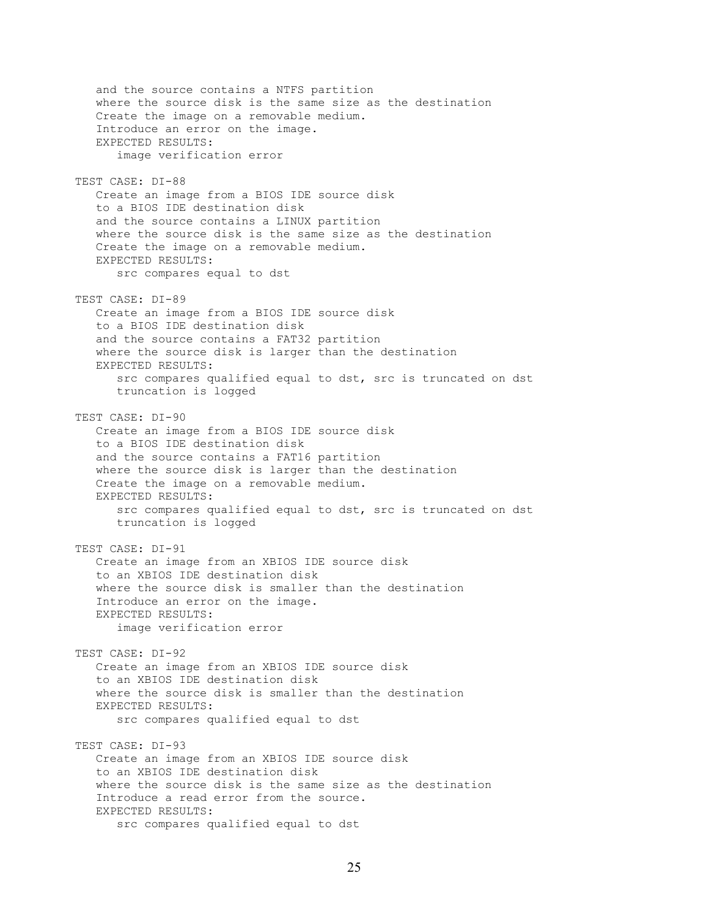and the source contains a NTFS partition where the source disk is the same size as the destination Create the image on a removable medium. Introduce an error on the image. EXPECTED RESULTS: image verification error TEST CASE: DI-88 Create an image from a BIOS IDE source disk to a BIOS IDE destination disk and the source contains a LINUX partition where the source disk is the same size as the destination Create the image on a removable medium. EXPECTED RESULTS: src compares equal to dst TEST CASE: DI-89 Create an image from a BIOS IDE source disk to a BIOS IDE destination disk and the source contains a FAT32 partition where the source disk is larger than the destination EXPECTED RESULTS: src compares qualified equal to dst, src is truncated on dst truncation is logged TEST CASE: DI-90 Create an image from a BIOS IDE source disk to a BIOS IDE destination disk and the source contains a FAT16 partition where the source disk is larger than the destination Create the image on a removable medium. EXPECTED RESULTS: src compares qualified equal to dst, src is truncated on dst truncation is logged TEST CASE: DI-91 Create an image from an XBIOS IDE source disk to an XBIOS IDE destination disk where the source disk is smaller than the destination Introduce an error on the image. EXPECTED RESULTS: image verification error TEST CASE: DI-92 Create an image from an XBIOS IDE source disk to an XBIOS IDE destination disk where the source disk is smaller than the destination EXPECTED RESULTS: src compares qualified equal to dst TEST CASE: DI-93 Create an image from an XBIOS IDE source disk to an XBIOS IDE destination disk where the source disk is the same size as the destination Introduce a read error from the source. EXPECTED RESULTS: src compares qualified equal to dst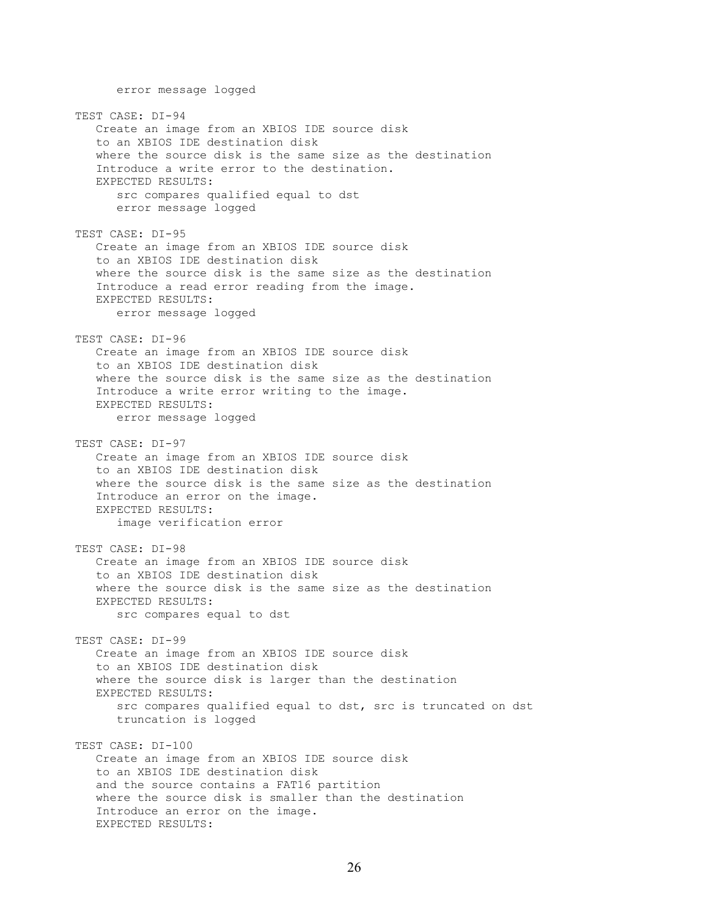error message logged TEST CASE: DI-94 Create an image from an XBIOS IDE source disk to an XBIOS IDE destination disk where the source disk is the same size as the destination Introduce a write error to the destination. EXPECTED RESULTS: src compares qualified equal to dst error message logged TEST CASE: DI-95 Create an image from an XBIOS IDE source disk to an XBIOS IDE destination disk where the source disk is the same size as the destination Introduce a read error reading from the image. EXPECTED RESULTS: error message logged TEST CASE: DI-96 Create an image from an XBIOS IDE source disk to an XBIOS IDE destination disk where the source disk is the same size as the destination Introduce a write error writing to the image. EXPECTED RESULTS: error message logged TEST CASE: DI-97 Create an image from an XBIOS IDE source disk to an XBIOS IDE destination disk where the source disk is the same size as the destination Introduce an error on the image. EXPECTED RESULTS: image verification error TEST CASE: DI-98 Create an image from an XBIOS IDE source disk to an XBIOS IDE destination disk where the source disk is the same size as the destination EXPECTED RESULTS: src compares equal to dst TEST CASE: DI-99 Create an image from an XBIOS IDE source disk to an XBIOS IDE destination disk where the source disk is larger than the destination EXPECTED RESULTS: src compares qualified equal to dst, src is truncated on dst truncation is logged TEST CASE: DI-100 Create an image from an XBIOS IDE source disk to an XBIOS IDE destination disk and the source contains a FAT16 partition where the source disk is smaller than the destination Introduce an error on the image. EXPECTED RESULTS: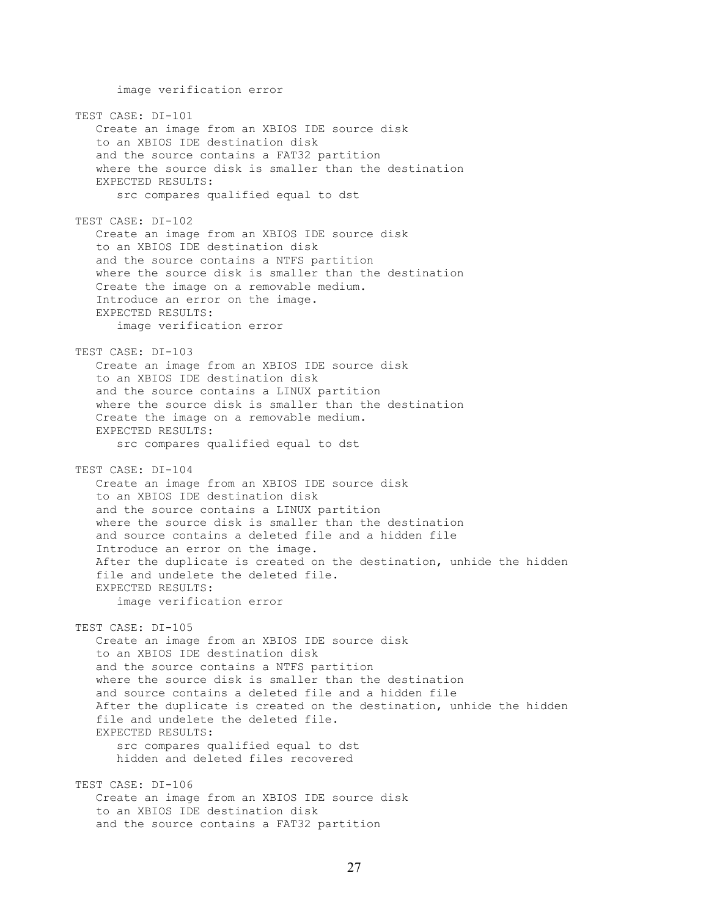image verification error TEST CASE: DI-101 Create an image from an XBIOS IDE source disk to an XBIOS IDE destination disk and the source contains a FAT32 partition where the source disk is smaller than the destination EXPECTED RESULTS: src compares qualified equal to dst TEST CASE: DI-102 Create an image from an XBIOS IDE source disk to an XBIOS IDE destination disk and the source contains a NTFS partition where the source disk is smaller than the destination Create the image on a removable medium. Introduce an error on the image. EXPECTED RESULTS: image verification error TEST CASE: DI-103 Create an image from an XBIOS IDE source disk to an XBIOS IDE destination disk and the source contains a LINUX partition where the source disk is smaller than the destination Create the image on a removable medium. EXPECTED RESULTS: src compares qualified equal to dst TEST CASE: DI-104 Create an image from an XBIOS IDE source disk to an XBIOS IDE destination disk and the source contains a LINUX partition where the source disk is smaller than the destination and source contains a deleted file and a hidden file Introduce an error on the image. After the duplicate is created on the destination, unhide the hidden file and undelete the deleted file. EXPECTED RESULTS: image verification error TEST CASE: DI-105 Create an image from an XBIOS IDE source disk to an XBIOS IDE destination disk and the source contains a NTFS partition where the source disk is smaller than the destination and source contains a deleted file and a hidden file After the duplicate is created on the destination, unhide the hidden file and undelete the deleted file. EXPECTED RESULTS: src compares qualified equal to dst hidden and deleted files recovered TEST CASE: DI-106 Create an image from an XBIOS IDE source disk to an XBIOS IDE destination disk and the source contains a FAT32 partition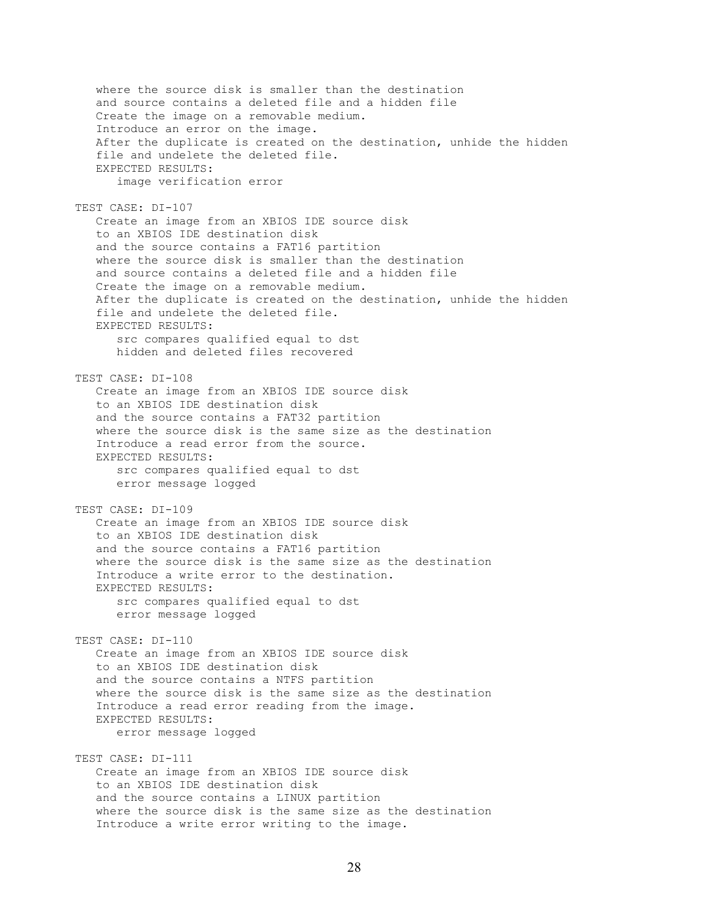where the source disk is smaller than the destination and source contains a deleted file and a hidden file Create the image on a removable medium. Introduce an error on the image. After the duplicate is created on the destination, unhide the hidden file and undelete the deleted file. EXPECTED RESULTS: image verification error TEST CASE: DI-107 Create an image from an XBIOS IDE source disk to an XBIOS IDE destination disk and the source contains a FAT16 partition where the source disk is smaller than the destination and source contains a deleted file and a hidden file Create the image on a removable medium. After the duplicate is created on the destination, unhide the hidden file and undelete the deleted file. EXPECTED RESULTS: src compares qualified equal to dst hidden and deleted files recovered TEST CASE: DI-108 Create an image from an XBIOS IDE source disk to an XBIOS IDE destination disk and the source contains a FAT32 partition where the source disk is the same size as the destination Introduce a read error from the source. EXPECTED RESULTS: src compares qualified equal to dst error message logged TEST CASE: DI-109 Create an image from an XBIOS IDE source disk to an XBIOS IDE destination disk and the source contains a FAT16 partition where the source disk is the same size as the destination Introduce a write error to the destination. EXPECTED RESULTS: src compares qualified equal to dst error message logged TEST CASE: DI-110 Create an image from an XBIOS IDE source disk to an XBIOS IDE destination disk and the source contains a NTFS partition where the source disk is the same size as the destination Introduce a read error reading from the image. EXPECTED RESULTS: error message logged TEST CASE: DI-111 Create an image from an XBIOS IDE source disk to an XBIOS IDE destination disk and the source contains a LINUX partition where the source disk is the same size as the destination Introduce a write error writing to the image.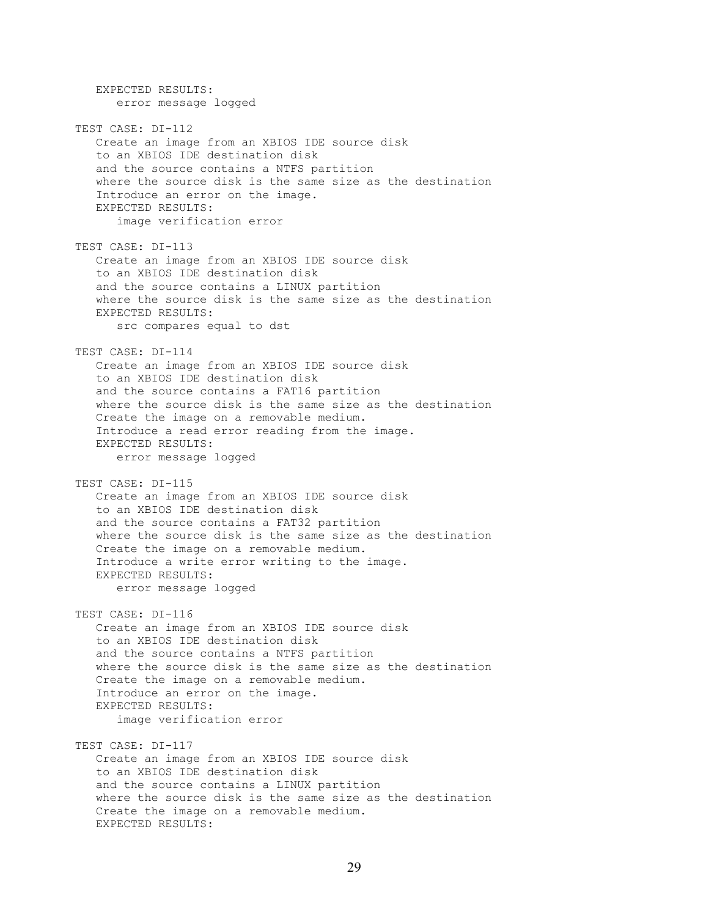EXPECTED RESULTS: error message logged TEST CASE: DI-112 Create an image from an XBIOS IDE source disk to an XBIOS IDE destination disk and the source contains a NTFS partition where the source disk is the same size as the destination Introduce an error on the image. EXPECTED RESULTS: image verification error TEST CASE: DI-113 Create an image from an XBIOS IDE source disk to an XBIOS IDE destination disk and the source contains a LINUX partition where the source disk is the same size as the destination EXPECTED RESULTS: src compares equal to dst TEST CASE: DI-114 Create an image from an XBIOS IDE source disk to an XBIOS IDE destination disk and the source contains a FAT16 partition where the source disk is the same size as the destination Create the image on a removable medium. Introduce a read error reading from the image. EXPECTED RESULTS: error message logged TEST CASE: DI-115 Create an image from an XBIOS IDE source disk to an XBIOS IDE destination disk and the source contains a FAT32 partition where the source disk is the same size as the destination Create the image on a removable medium. Introduce a write error writing to the image. EXPECTED RESULTS: error message logged TEST CASE: DI-116 Create an image from an XBIOS IDE source disk to an XBIOS IDE destination disk and the source contains a NTFS partition where the source disk is the same size as the destination Create the image on a removable medium. Introduce an error on the image. EXPECTED RESULTS: image verification error TEST CASE: DI-117 Create an image from an XBIOS IDE source disk to an XBIOS IDE destination disk and the source contains a LINUX partition where the source disk is the same size as the destination Create the image on a removable medium. EXPECTED RESULTS: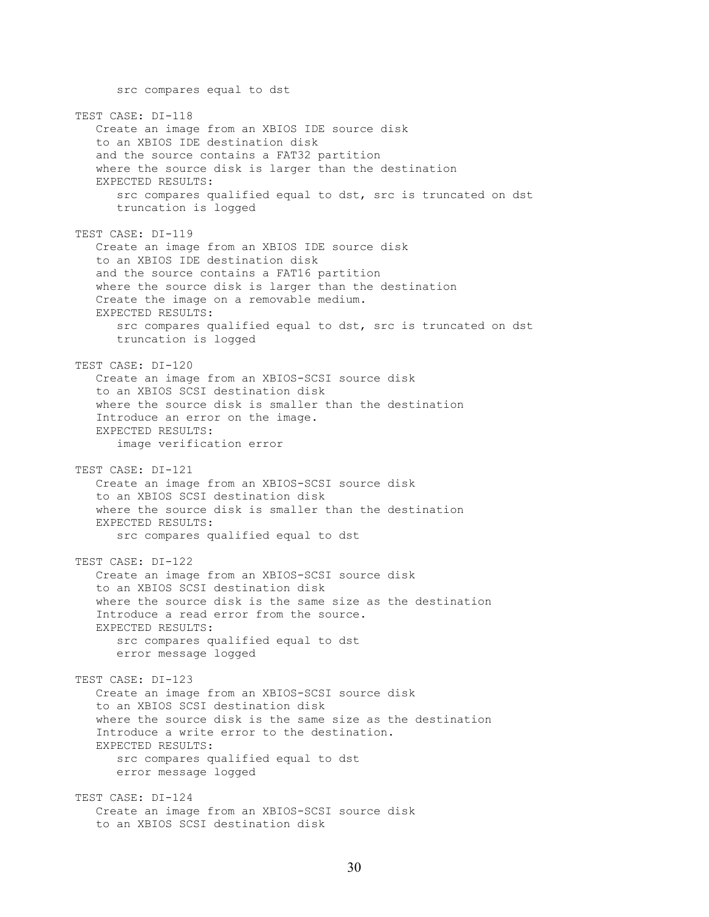src compares equal to dst TEST CASE: DI-118 Create an image from an XBIOS IDE source disk to an XBIOS IDE destination disk and the source contains a FAT32 partition where the source disk is larger than the destination EXPECTED RESULTS: src compares qualified equal to dst, src is truncated on dst truncation is logged TEST CASE: DI-119 Create an image from an XBIOS IDE source disk to an XBIOS IDE destination disk and the source contains a FAT16 partition where the source disk is larger than the destination Create the image on a removable medium. EXPECTED RESULTS: src compares qualified equal to dst, src is truncated on dst truncation is logged TEST CASE: DI-120 Create an image from an XBIOS-SCSI source disk to an XBIOS SCSI destination disk where the source disk is smaller than the destination Introduce an error on the image. EXPECTED RESULTS: image verification error TEST CASE: DI-121 Create an image from an XBIOS-SCSI source disk to an XBIOS SCSI destination disk where the source disk is smaller than the destination EXPECTED RESULTS: src compares qualified equal to dst TEST CASE: DI-122 Create an image from an XBIOS-SCSI source disk to an XBIOS SCSI destination disk where the source disk is the same size as the destination Introduce a read error from the source. EXPECTED RESULTS: src compares qualified equal to dst error message logged TEST CASE: DI-123 Create an image from an XBIOS-SCSI source disk to an XBIOS SCSI destination disk where the source disk is the same size as the destination Introduce a write error to the destination. EXPECTED RESULTS: src compares qualified equal to dst error message logged TEST CASE: DI-124 Create an image from an XBIOS-SCSI source disk to an XBIOS SCSI destination disk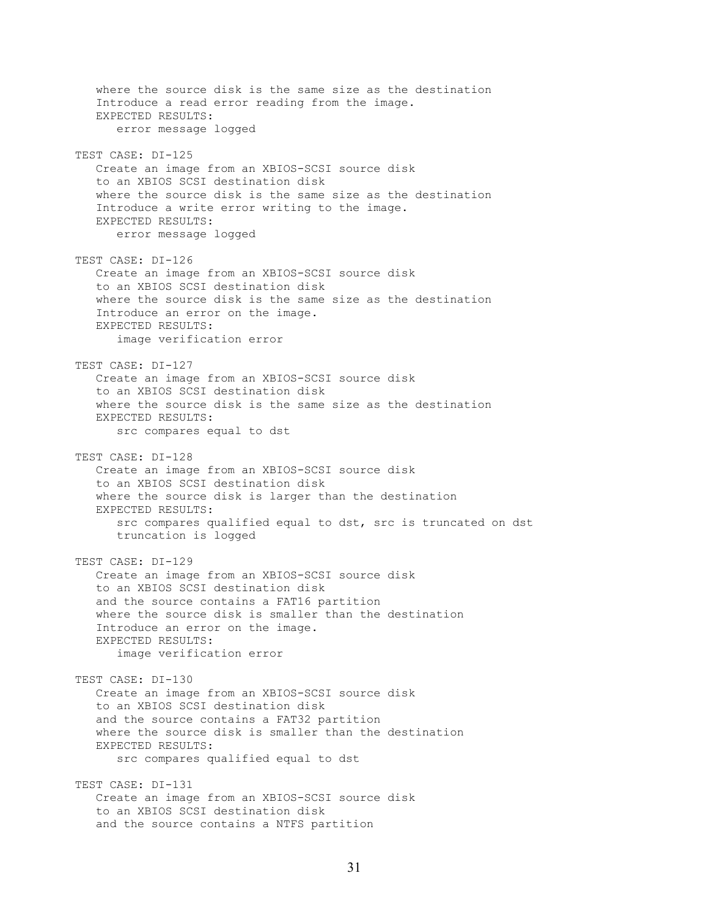where the source disk is the same size as the destination Introduce a read error reading from the image. EXPECTED RESULTS: error message logged TEST CASE: DI-125 Create an image from an XBIOS-SCSI source disk to an XBIOS SCSI destination disk where the source disk is the same size as the destination Introduce a write error writing to the image. EXPECTED RESULTS: error message logged TEST CASE: DI-126 Create an image from an XBIOS-SCSI source disk to an XBIOS SCSI destination disk where the source disk is the same size as the destination Introduce an error on the image. EXPECTED RESULTS: image verification error TEST CASE: DI-127 Create an image from an XBIOS-SCSI source disk to an XBIOS SCSI destination disk where the source disk is the same size as the destination EXPECTED RESULTS: src compares equal to dst TEST CASE: DI-128 Create an image from an XBIOS-SCSI source disk to an XBIOS SCSI destination disk where the source disk is larger than the destination EXPECTED RESULTS: src compares qualified equal to dst, src is truncated on dst truncation is logged TEST CASE: DI-129 Create an image from an XBIOS-SCSI source disk to an XBIOS SCSI destination disk and the source contains a FAT16 partition where the source disk is smaller than the destination Introduce an error on the image. EXPECTED RESULTS: image verification error TEST CASE: DI-130 Create an image from an XBIOS-SCSI source disk to an XBIOS SCSI destination disk and the source contains a FAT32 partition where the source disk is smaller than the destination EXPECTED RESULTS: src compares qualified equal to dst TEST CASE: DI-131 Create an image from an XBIOS-SCSI source disk to an XBIOS SCSI destination disk and the source contains a NTFS partition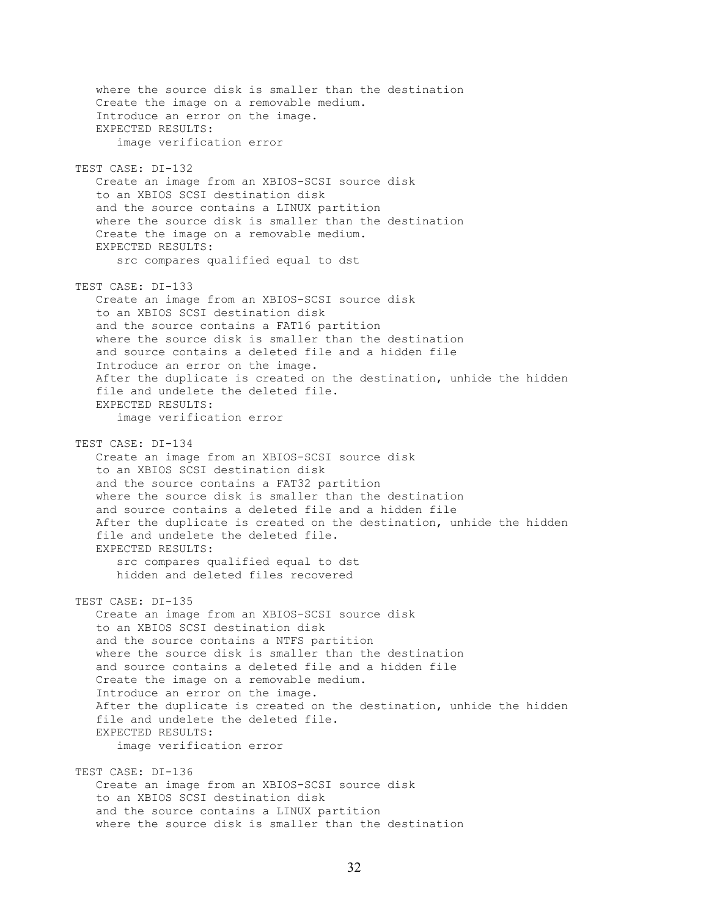where the source disk is smaller than the destination Create the image on a removable medium. Introduce an error on the image. EXPECTED RESULTS: image verification error TEST CASE: DI-132 Create an image from an XBIOS-SCSI source disk to an XBIOS SCSI destination disk and the source contains a LINUX partition where the source disk is smaller than the destination Create the image on a removable medium. EXPECTED RESULTS: src compares qualified equal to dst TEST CASE: DI-133 Create an image from an XBIOS-SCSI source disk to an XBIOS SCSI destination disk and the source contains a FAT16 partition where the source disk is smaller than the destination and source contains a deleted file and a hidden file Introduce an error on the image. After the duplicate is created on the destination, unhide the hidden file and undelete the deleted file. EXPECTED RESULTS: image verification error TEST CASE: DI-134 Create an image from an XBIOS-SCSI source disk to an XBIOS SCSI destination disk and the source contains a FAT32 partition where the source disk is smaller than the destination and source contains a deleted file and a hidden file After the duplicate is created on the destination, unhide the hidden file and undelete the deleted file. EXPECTED RESULTS: src compares qualified equal to dst hidden and deleted files recovered TEST CASE: DI-135 Create an image from an XBIOS-SCSI source disk to an XBIOS SCSI destination disk and the source contains a NTFS partition where the source disk is smaller than the destination and source contains a deleted file and a hidden file Create the image on a removable medium. Introduce an error on the image. After the duplicate is created on the destination, unhide the hidden file and undelete the deleted file. EXPECTED RESULTS: image verification error TEST CASE: DI-136 Create an image from an XBIOS-SCSI source disk to an XBIOS SCSI destination disk and the source contains a LINUX partition where the source disk is smaller than the destination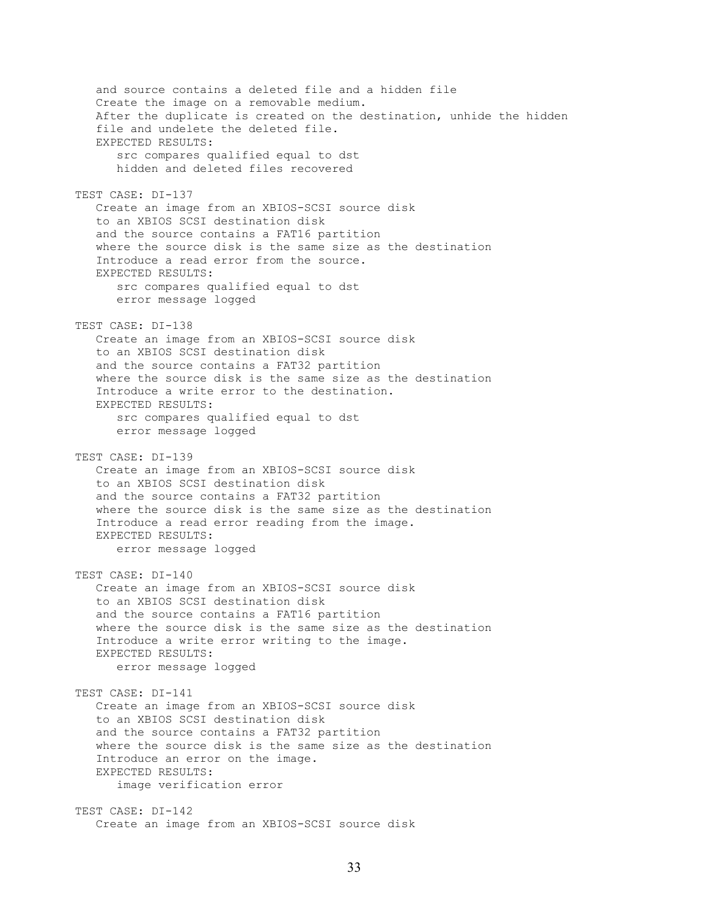and source contains a deleted file and a hidden file Create the image on a removable medium. After the duplicate is created on the destination, unhide the hidden file and undelete the deleted file. EXPECTED RESULTS: src compares qualified equal to dst hidden and deleted files recovered TEST CASE: DI-137 Create an image from an XBIOS-SCSI source disk to an XBIOS SCSI destination disk and the source contains a FAT16 partition where the source disk is the same size as the destination Introduce a read error from the source. EXPECTED RESULTS: src compares qualified equal to dst error message logged TEST CASE: DI-138 Create an image from an XBIOS-SCSI source disk to an XBIOS SCSI destination disk and the source contains a FAT32 partition where the source disk is the same size as the destination Introduce a write error to the destination. EXPECTED RESULTS: src compares qualified equal to dst error message logged TEST CASE: DI-139 Create an image from an XBIOS-SCSI source disk to an XBIOS SCSI destination disk and the source contains a FAT32 partition where the source disk is the same size as the destination Introduce a read error reading from the image. EXPECTED RESULTS: error message logged TEST CASE: DI-140 Create an image from an XBIOS-SCSI source disk to an XBIOS SCSI destination disk and the source contains a FAT16 partition where the source disk is the same size as the destination Introduce a write error writing to the image. EXPECTED RESULTS: error message logged TEST CASE: DI-141 Create an image from an XBIOS-SCSI source disk to an XBIOS SCSI destination disk and the source contains a FAT32 partition where the source disk is the same size as the destination Introduce an error on the image. EXPECTED RESULTS: image verification error TEST CASE: DI-142 Create an image from an XBIOS-SCSI source disk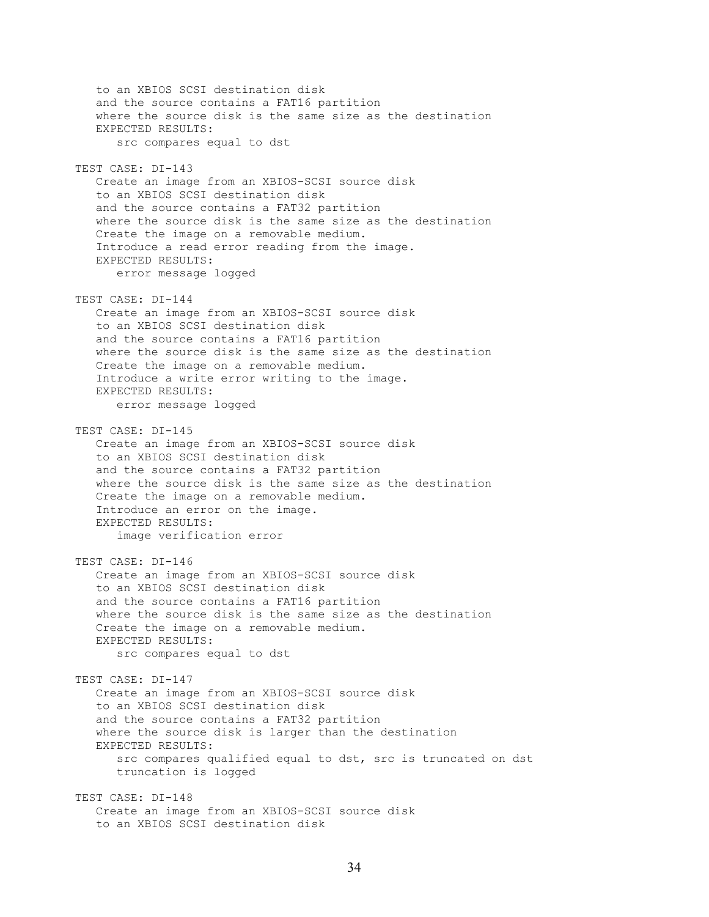to an XBIOS SCSI destination disk and the source contains a FAT16 partition where the source disk is the same size as the destination EXPECTED RESULTS: src compares equal to dst TEST CASE: DI-143 Create an image from an XBIOS-SCSI source disk to an XBIOS SCSI destination disk and the source contains a FAT32 partition where the source disk is the same size as the destination Create the image on a removable medium. Introduce a read error reading from the image. EXPECTED RESULTS: error message logged TEST CASE: DI-144 Create an image from an XBIOS-SCSI source disk to an XBIOS SCSI destination disk and the source contains a FAT16 partition where the source disk is the same size as the destination Create the image on a removable medium. Introduce a write error writing to the image. EXPECTED RESULTS: error message logged TEST CASE: DI-145 Create an image from an XBIOS-SCSI source disk to an XBIOS SCSI destination disk and the source contains a FAT32 partition where the source disk is the same size as the destination Create the image on a removable medium. Introduce an error on the image. EXPECTED RESULTS: image verification error TEST CASE: DI-146 Create an image from an XBIOS-SCSI source disk to an XBIOS SCSI destination disk and the source contains a FAT16 partition where the source disk is the same size as the destination Create the image on a removable medium. EXPECTED RESULTS: src compares equal to dst TEST CASE: DI-147 Create an image from an XBIOS-SCSI source disk to an XBIOS SCSI destination disk and the source contains a FAT32 partition where the source disk is larger than the destination EXPECTED RESULTS: src compares qualified equal to dst, src is truncated on dst truncation is logged TEST CASE: DI-148 Create an image from an XBIOS-SCSI source disk to an XBIOS SCSI destination disk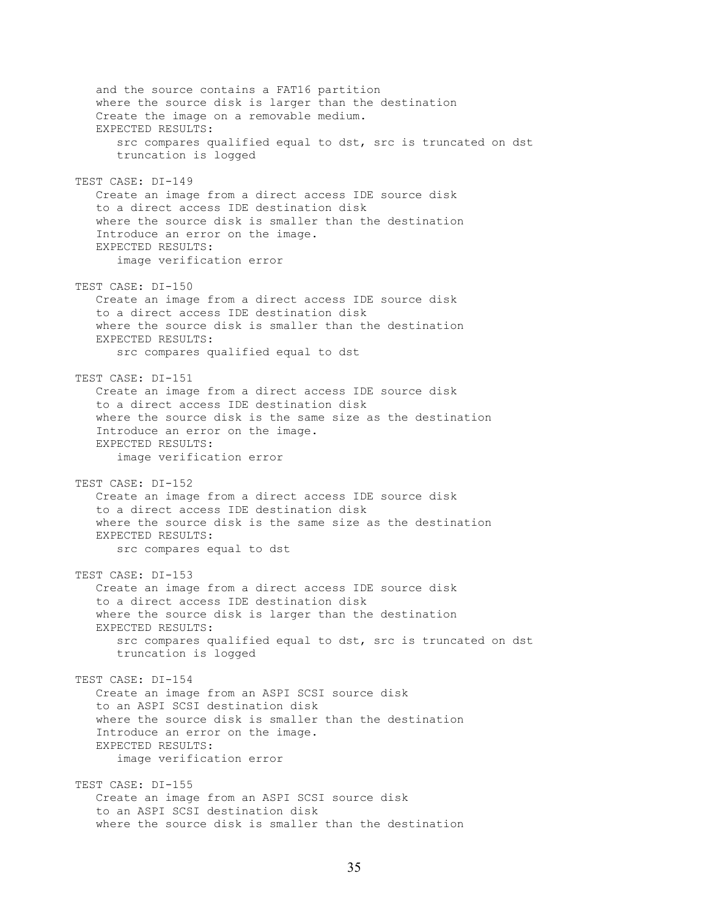and the source contains a FAT16 partition where the source disk is larger than the destination Create the image on a removable medium. EXPECTED RESULTS: src compares qualified equal to dst, src is truncated on dst truncation is logged TEST CASE: DI-149 Create an image from a direct access IDE source disk to a direct access IDE destination disk where the source disk is smaller than the destination Introduce an error on the image. EXPECTED RESULTS: image verification error TEST CASE: DI-150 Create an image from a direct access IDE source disk to a direct access IDE destination disk where the source disk is smaller than the destination EXPECTED RESULTS: src compares qualified equal to dst TEST CASE: DI-151 Create an image from a direct access IDE source disk to a direct access IDE destination disk where the source disk is the same size as the destination Introduce an error on the image. EXPECTED RESULTS: image verification error TEST CASE: DI-152 Create an image from a direct access IDE source disk to a direct access IDE destination disk where the source disk is the same size as the destination EXPECTED RESULTS: src compares equal to dst TEST CASE: DI-153 Create an image from a direct access IDE source disk to a direct access IDE destination disk where the source disk is larger than the destination EXPECTED RESULTS: src compares qualified equal to dst, src is truncated on dst truncation is logged TEST CASE: DI-154 Create an image from an ASPI SCSI source disk to an ASPI SCSI destination disk where the source disk is smaller than the destination Introduce an error on the image. EXPECTED RESULTS: image verification error TEST CASE: DI-155 Create an image from an ASPI SCSI source disk to an ASPI SCSI destination disk where the source disk is smaller than the destination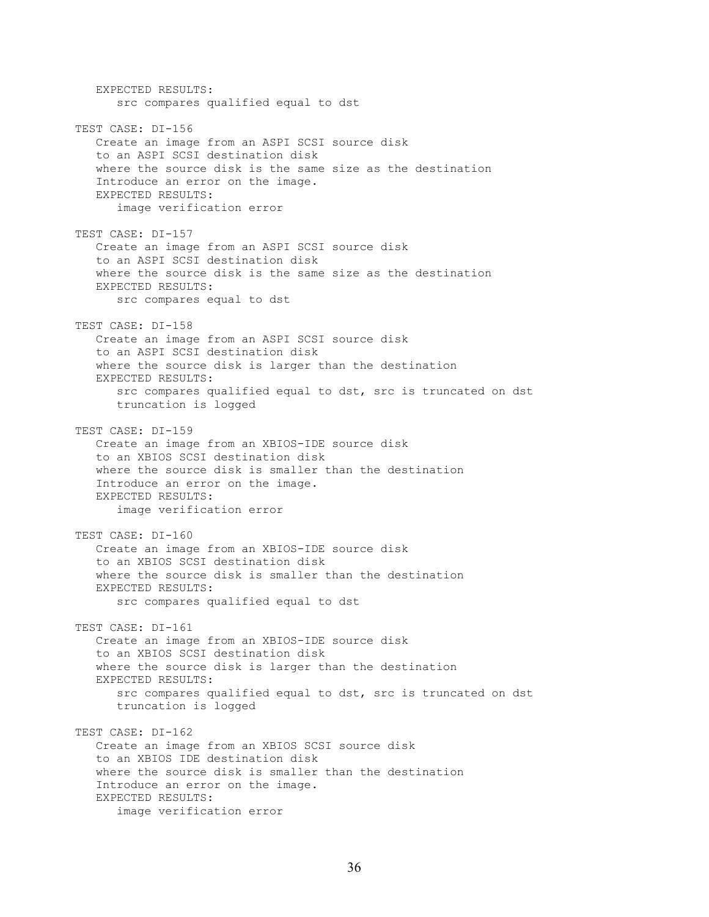EXPECTED RESULTS: src compares qualified equal to dst TEST CASE: DI-156 Create an image from an ASPI SCSI source disk to an ASPI SCSI destination disk where the source disk is the same size as the destination Introduce an error on the image. EXPECTED RESULTS: image verification error TEST CASE: DI-157 Create an image from an ASPI SCSI source disk to an ASPI SCSI destination disk where the source disk is the same size as the destination EXPECTED RESULTS: src compares equal to dst TEST CASE: DI-158 Create an image from an ASPI SCSI source disk to an ASPI SCSI destination disk where the source disk is larger than the destination EXPECTED RESULTS: src compares qualified equal to dst, src is truncated on dst truncation is logged TEST CASE: DI-159 Create an image from an XBIOS-IDE source disk to an XBIOS SCSI destination disk where the source disk is smaller than the destination Introduce an error on the image. EXPECTED RESULTS: image verification error TEST CASE: DI-160 Create an image from an XBIOS-IDE source disk to an XBIOS SCSI destination disk where the source disk is smaller than the destination EXPECTED RESULTS: src compares qualified equal to dst TEST CASE: DI-161 Create an image from an XBIOS-IDE source disk to an XBIOS SCSI destination disk where the source disk is larger than the destination EXPECTED RESULTS: src compares qualified equal to dst, src is truncated on dst truncation is logged TEST CASE: DI-162 Create an image from an XBIOS SCSI source disk to an XBIOS IDE destination disk where the source disk is smaller than the destination Introduce an error on the image. EXPECTED RESULTS: image verification error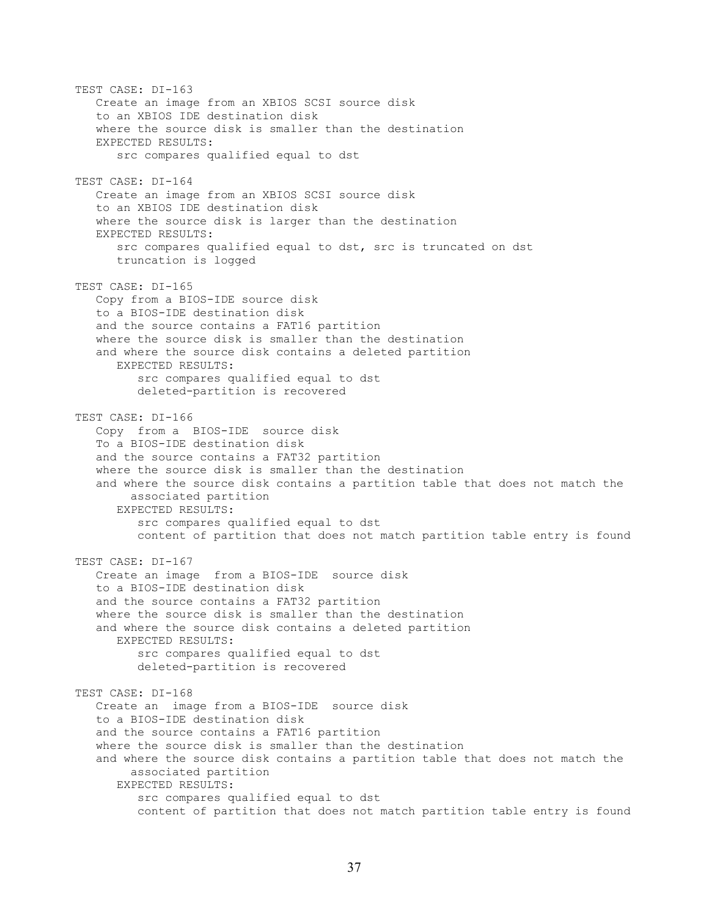TEST CASE: DI-163 Create an image from an XBIOS SCSI source disk to an XBIOS IDE destination disk where the source disk is smaller than the destination EXPECTED RESULTS: src compares qualified equal to dst TEST CASE: DI-164 Create an image from an XBIOS SCSI source disk to an XBIOS IDE destination disk where the source disk is larger than the destination EXPECTED RESULTS: src compares qualified equal to dst, src is truncated on dst truncation is logged TEST CASE: DI-165 Copy from a BIOS-IDE source disk to a BIOS-IDE destination disk and the source contains a FAT16 partition where the source disk is smaller than the destination and where the source disk contains a deleted partition EXPECTED RESULTS: src compares qualified equal to dst deleted-partition is recovered TEST CASE: DI-166 Copy from a BIOS-IDE source disk To a BIOS-IDE destination disk and the source contains a FAT32 partition where the source disk is smaller than the destination and where the source disk contains a partition table that does not match the associated partition EXPECTED RESULTS: src compares qualified equal to dst content of partition that does not match partition table entry is found TEST CASE: DI-167 Create an image from a BIOS-IDE source disk to a BIOS-IDE destination disk and the source contains a FAT32 partition where the source disk is smaller than the destination and where the source disk contains a deleted partition EXPECTED RESULTS: src compares qualified equal to dst deleted-partition is recovered TEST CASE: DI-168 Create an image from a BIOS-IDE source disk to a BIOS-IDE destination disk and the source contains a FAT16 partition where the source disk is smaller than the destination and where the source disk contains a partition table that does not match the associated partition EXPECTED RESULTS: src compares qualified equal to dst content of partition that does not match partition table entry is found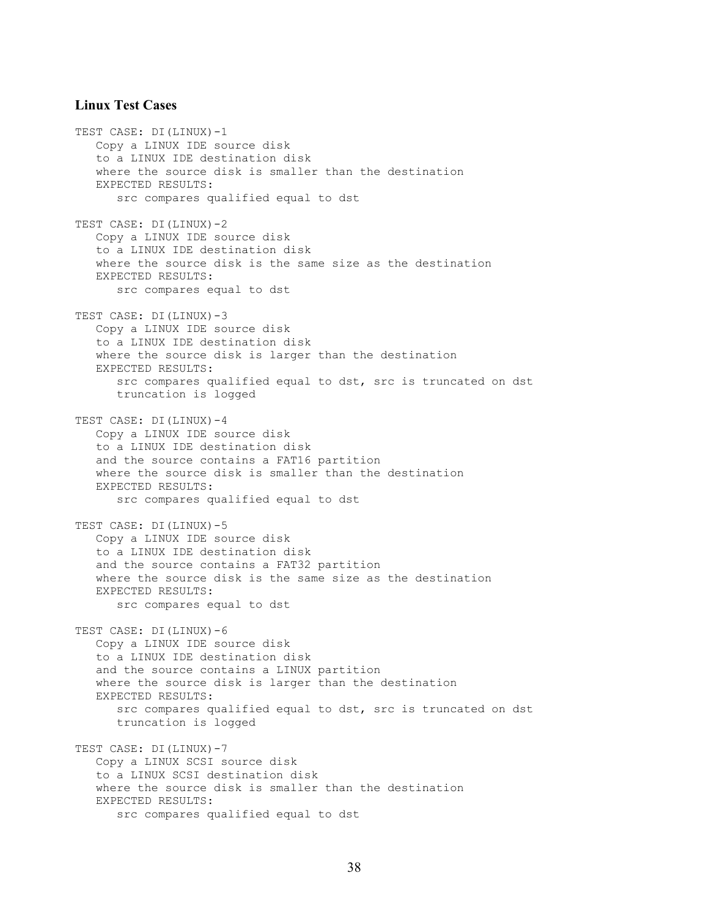#### **Linux Test Cases**

TEST CASE: DI(LINUX)-1 Copy a LINUX IDE source disk to a LINUX IDE destination disk where the source disk is smaller than the destination EXPECTED RESULTS: src compares qualified equal to dst TEST CASE: DI(LINUX)-2 Copy a LINUX IDE source disk to a LINUX IDE destination disk where the source disk is the same size as the destination EXPECTED RESULTS: src compares equal to dst TEST CASE: DI(LINUX)-3 Copy a LINUX IDE source disk to a LINUX IDE destination disk where the source disk is larger than the destination EXPECTED RESULTS: src compares qualified equal to dst, src is truncated on dst truncation is logged TEST CASE: DI(LINUX)-4 Copy a LINUX IDE source disk to a LINUX IDE destination disk and the source contains a FAT16 partition where the source disk is smaller than the destination EXPECTED RESULTS: src compares qualified equal to dst TEST CASE: DI(LINUX)-5 Copy a LINUX IDE source disk to a LINUX IDE destination disk and the source contains a FAT32 partition where the source disk is the same size as the destination EXPECTED RESULTS: src compares equal to dst TEST CASE: DI(LINUX)-6 Copy a LINUX IDE source disk to a LINUX IDE destination disk and the source contains a LINUX partition where the source disk is larger than the destination EXPECTED RESULTS: src compares qualified equal to dst, src is truncated on dst truncation is logged TEST CASE: DI(LINUX)-7 Copy a LINUX SCSI source disk to a LINUX SCSI destination disk where the source disk is smaller than the destination EXPECTED RESULTS: src compares qualified equal to dst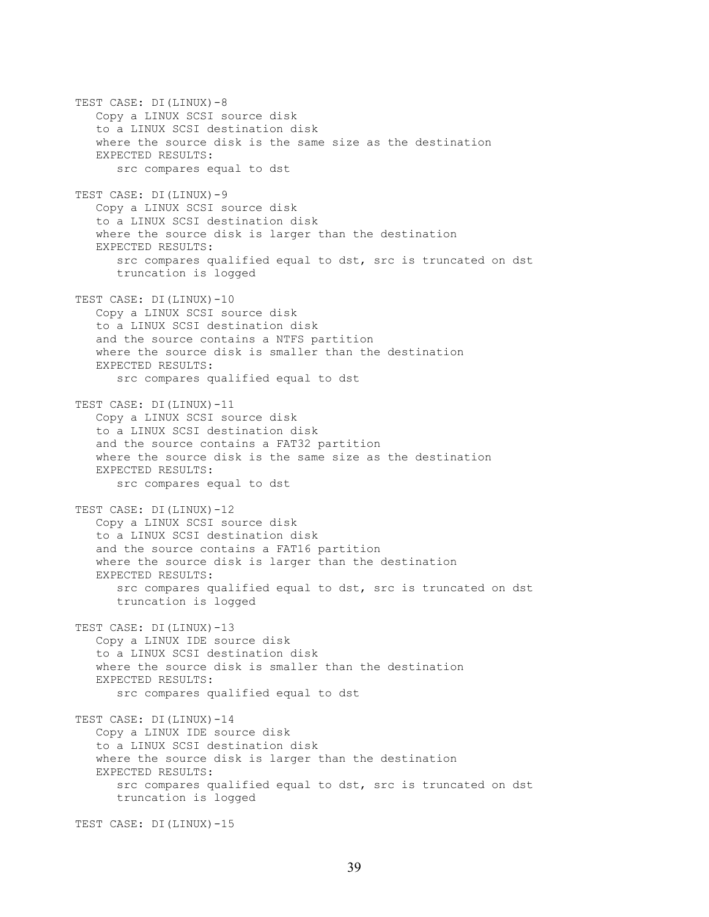TEST CASE: DI(LINUX)-8 Copy a LINUX SCSI source disk to a LINUX SCSI destination disk where the source disk is the same size as the destination EXPECTED RESULTS: src compares equal to dst TEST CASE: DI(LINUX)-9 Copy a LINUX SCSI source disk to a LINUX SCSI destination disk where the source disk is larger than the destination EXPECTED RESULTS: src compares qualified equal to dst, src is truncated on dst truncation is logged TEST CASE: DI(LINUX)-10 Copy a LINUX SCSI source disk to a LINUX SCSI destination disk and the source contains a NTFS partition where the source disk is smaller than the destination EXPECTED RESULTS: src compares qualified equal to dst TEST CASE: DI(LINUX)-11 Copy a LINUX SCSI source disk to a LINUX SCSI destination disk and the source contains a FAT32 partition where the source disk is the same size as the destination EXPECTED RESULTS: src compares equal to dst TEST CASE: DI(LINUX)-12 Copy a LINUX SCSI source disk to a LINUX SCSI destination disk and the source contains a FAT16 partition where the source disk is larger than the destination EXPECTED RESULTS: src compares qualified equal to dst, src is truncated on dst truncation is logged TEST CASE: DI(LINUX)-13 Copy a LINUX IDE source disk to a LINUX SCSI destination disk where the source disk is smaller than the destination EXPECTED RESULTS: src compares qualified equal to dst TEST CASE: DI(LINUX)-14 Copy a LINUX IDE source disk to a LINUX SCSI destination disk where the source disk is larger than the destination EXPECTED RESULTS: src compares qualified equal to dst, src is truncated on dst truncation is logged

TEST CASE: DI(LINUX)-15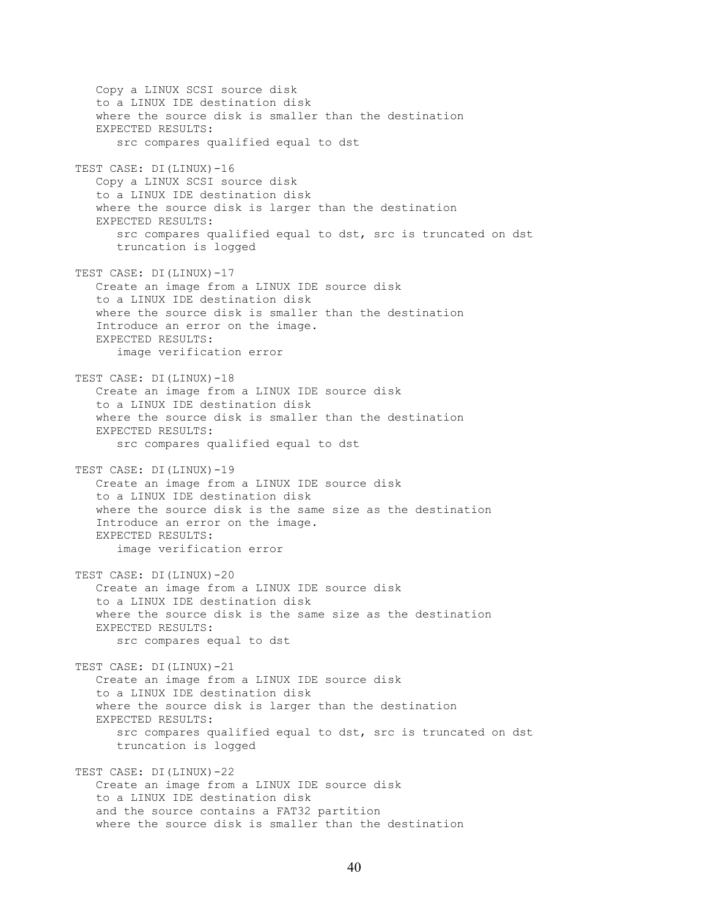Copy a LINUX SCSI source disk to a LINUX IDE destination disk where the source disk is smaller than the destination EXPECTED RESULTS: src compares qualified equal to dst TEST CASE: DI(LINUX)-16 Copy a LINUX SCSI source disk to a LINUX IDE destination disk where the source disk is larger than the destination EXPECTED RESULTS: src compares qualified equal to dst, src is truncated on dst truncation is logged TEST CASE: DI(LINUX)-17 Create an image from a LINUX IDE source disk to a LINUX IDE destination disk where the source disk is smaller than the destination Introduce an error on the image. EXPECTED RESULTS: image verification error TEST CASE: DI(LINUX)-18 Create an image from a LINUX IDE source disk to a LINUX IDE destination disk where the source disk is smaller than the destination EXPECTED RESULTS: src compares qualified equal to dst TEST CASE: DI(LINUX)-19 Create an image from a LINUX IDE source disk to a LINUX IDE destination disk where the source disk is the same size as the destination Introduce an error on the image. EXPECTED RESULTS: image verification error TEST CASE: DI(LINUX)-20 Create an image from a LINUX IDE source disk to a LINUX IDE destination disk where the source disk is the same size as the destination EXPECTED RESULTS: src compares equal to dst TEST CASE: DI(LINUX)-21 Create an image from a LINUX IDE source disk to a LINUX IDE destination disk where the source disk is larger than the destination EXPECTED RESULTS: src compares qualified equal to dst, src is truncated on dst truncation is logged TEST CASE: DI(LINUX)-22 Create an image from a LINUX IDE source disk to a LINUX IDE destination disk and the source contains a FAT32 partition where the source disk is smaller than the destination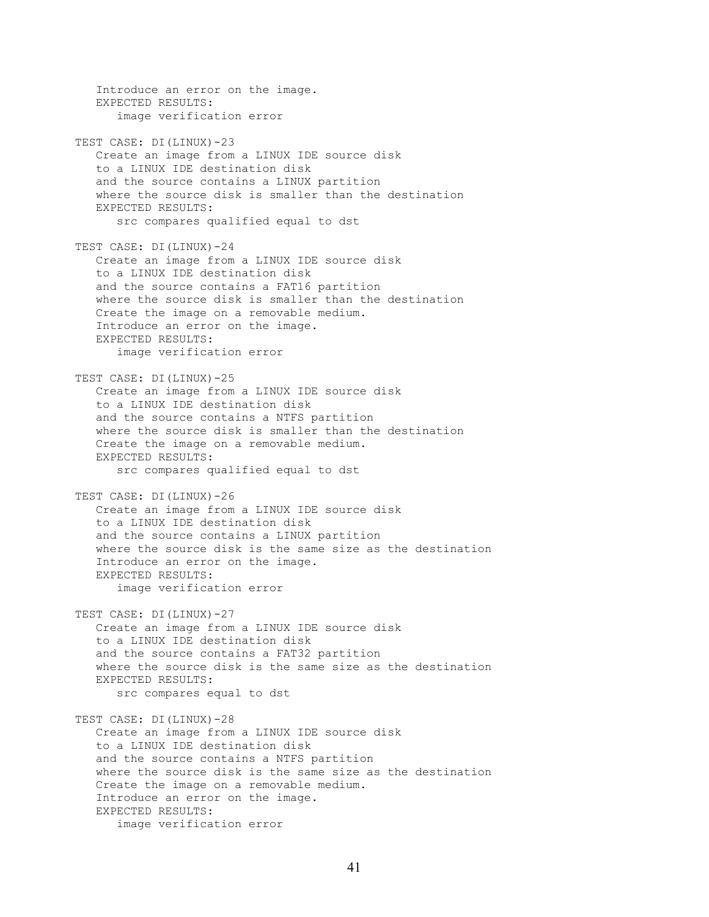Introduce an error on the image. EXPECTED RESULTS: image verification error TEST CASE: DI(LINUX)-23 Create an image from a LINUX IDE source disk to a LINUX IDE destination disk and the source contains a LINUX partition where the source disk is smaller than the destination EXPECTED RESULTS: src compares qualified equal to dst TEST CASE: DI(LINUX)-24 Create an image from a LINUX IDE source disk to a LINUX IDE destination disk and the source contains a FAT16 partition where the source disk is smaller than the destination Create the image on a removable medium. Introduce an error on the image. EXPECTED RESULTS: image verification error TEST CASE: DI(LINUX)-25 Create an image from a LINUX IDE source disk to a LINUX IDE destination disk and the source contains a NTFS partition where the source disk is smaller than the destination Create the image on a removable medium. EXPECTED RESULTS: src compares qualified equal to dst TEST CASE: DI(LINUX)-26 Create an image from a LINUX IDE source disk to a LINUX IDE destination disk and the source contains a LINUX partition where the source disk is the same size as the destination Introduce an error on the image. EXPECTED RESULTS: image verification error TEST CASE: DI(LINUX)-27 Create an image from a LINUX IDE source disk to a LINUX IDE destination disk and the source contains a FAT32 partition where the source disk is the same size as the destination EXPECTED RESULTS: src compares equal to dst TEST CASE: DI(LINUX)-28 Create an image from a LINUX IDE source disk to a LINUX IDE destination disk and the source contains a NTFS partition where the source disk is the same size as the destination Create the image on a removable medium. Introduce an error on the image. EXPECTED RESULTS: image verification error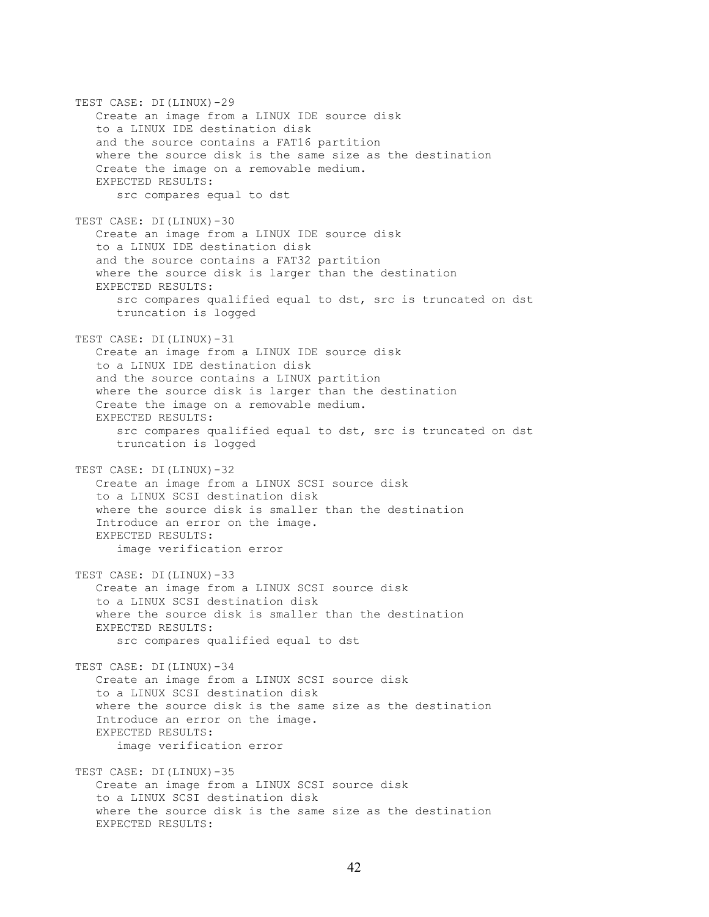TEST CASE: DI(LINUX)-29 Create an image from a LINUX IDE source disk to a LINUX IDE destination disk and the source contains a FAT16 partition where the source disk is the same size as the destination Create the image on a removable medium. EXPECTED RESULTS: src compares equal to dst TEST CASE: DI(LINUX)-30 Create an image from a LINUX IDE source disk to a LINUX IDE destination disk and the source contains a FAT32 partition where the source disk is larger than the destination EXPECTED RESULTS: src compares qualified equal to dst, src is truncated on dst truncation is logged TEST CASE: DI(LINUX)-31 Create an image from a LINUX IDE source disk to a LINUX IDE destination disk and the source contains a LINUX partition where the source disk is larger than the destination Create the image on a removable medium. EXPECTED RESULTS: src compares qualified equal to dst, src is truncated on dst truncation is logged TEST CASE: DI(LINUX)-32 Create an image from a LINUX SCSI source disk to a LINUX SCSI destination disk where the source disk is smaller than the destination Introduce an error on the image. EXPECTED RESULTS: image verification error TEST CASE: DI(LINUX)-33 Create an image from a LINUX SCSI source disk to a LINUX SCSI destination disk where the source disk is smaller than the destination EXPECTED RESULTS: src compares qualified equal to dst TEST CASE: DI(LINUX)-34 Create an image from a LINUX SCSI source disk to a LINUX SCSI destination disk where the source disk is the same size as the destination Introduce an error on the image. EXPECTED RESULTS: image verification error TEST CASE: DI(LINUX)-35 Create an image from a LINUX SCSI source disk to a LINUX SCSI destination disk where the source disk is the same size as the destination EXPECTED RESULTS: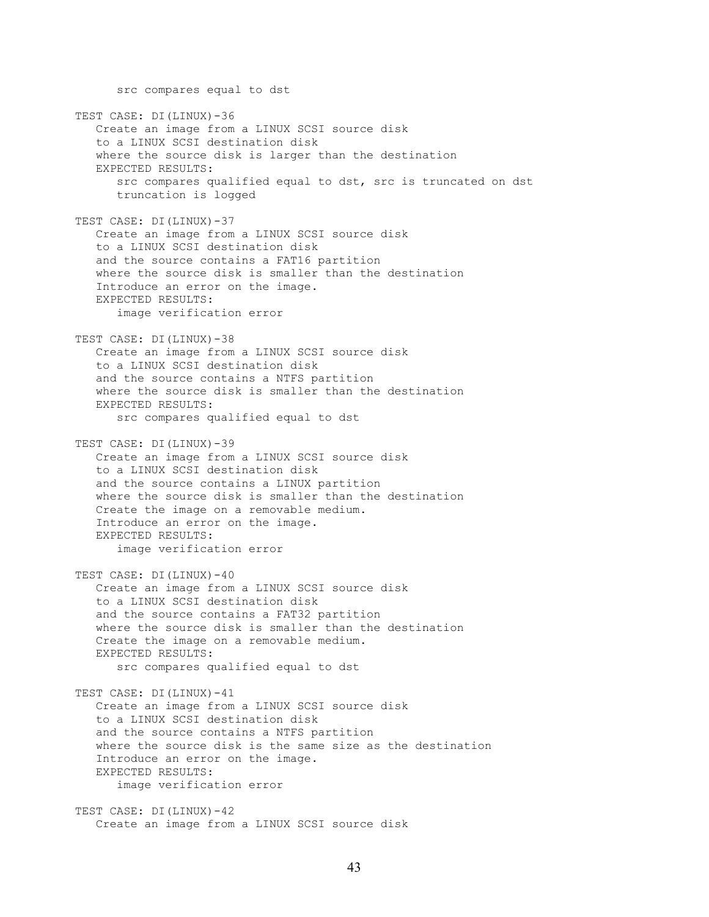src compares equal to dst TEST CASE: DI(LINUX)-36 Create an image from a LINUX SCSI source disk to a LINUX SCSI destination disk where the source disk is larger than the destination EXPECTED RESULTS: src compares qualified equal to dst, src is truncated on dst truncation is logged TEST CASE: DI(LINUX)-37 Create an image from a LINUX SCSI source disk to a LINUX SCSI destination disk and the source contains a FAT16 partition where the source disk is smaller than the destination Introduce an error on the image. EXPECTED RESULTS: image verification error TEST CASE: DI(LINUX)-38 Create an image from a LINUX SCSI source disk to a LINUX SCSI destination disk and the source contains a NTFS partition where the source disk is smaller than the destination EXPECTED RESULTS: src compares qualified equal to dst TEST CASE: DI(LINUX)-39 Create an image from a LINUX SCSI source disk to a LINUX SCSI destination disk and the source contains a LINUX partition where the source disk is smaller than the destination Create the image on a removable medium. Introduce an error on the image. EXPECTED RESULTS: image verification error TEST CASE: DI(LINUX)-40 Create an image from a LINUX SCSI source disk to a LINUX SCSI destination disk and the source contains a FAT32 partition where the source disk is smaller than the destination Create the image on a removable medium. EXPECTED RESULTS: src compares qualified equal to dst TEST CASE: DI(LINUX)-41 Create an image from a LINUX SCSI source disk to a LINUX SCSI destination disk and the source contains a NTFS partition where the source disk is the same size as the destination Introduce an error on the image. EXPECTED RESULTS: image verification error TEST CASE: DI(LINUX)-42 Create an image from a LINUX SCSI source disk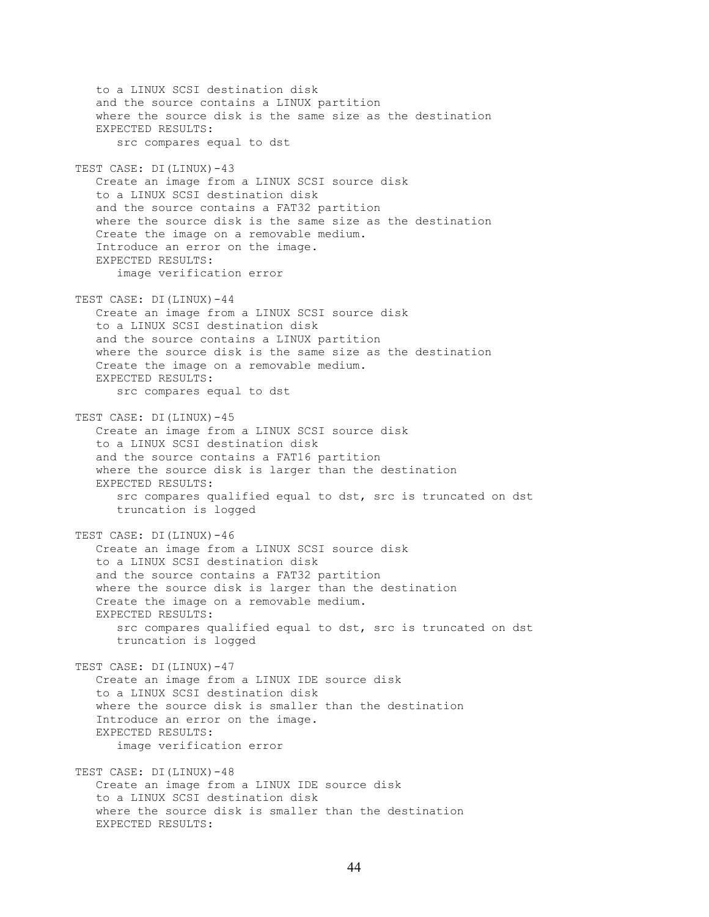to a LINUX SCSI destination disk and the source contains a LINUX partition where the source disk is the same size as the destination EXPECTED RESULTS: src compares equal to dst TEST CASE: DI(LINUX)-43 Create an image from a LINUX SCSI source disk to a LINUX SCSI destination disk and the source contains a FAT32 partition where the source disk is the same size as the destination Create the image on a removable medium. Introduce an error on the image. EXPECTED RESULTS: image verification error TEST CASE: DI(LINUX)-44 Create an image from a LINUX SCSI source disk to a LINUX SCSI destination disk and the source contains a LINUX partition where the source disk is the same size as the destination Create the image on a removable medium. EXPECTED RESULTS: src compares equal to dst TEST CASE: DI(LINUX)-45 Create an image from a LINUX SCSI source disk to a LINUX SCSI destination disk and the source contains a FAT16 partition where the source disk is larger than the destination EXPECTED RESULTS: src compares qualified equal to dst, src is truncated on dst truncation is logged TEST CASE: DI(LINUX)-46 Create an image from a LINUX SCSI source disk to a LINUX SCSI destination disk and the source contains a FAT32 partition where the source disk is larger than the destination Create the image on a removable medium. EXPECTED RESULTS: src compares qualified equal to dst, src is truncated on dst truncation is logged TEST CASE: DI(LINUX)-47 Create an image from a LINUX IDE source disk to a LINUX SCSI destination disk where the source disk is smaller than the destination Introduce an error on the image. EXPECTED RESULTS: image verification error TEST CASE: DI(LINUX)-48 Create an image from a LINUX IDE source disk to a LINUX SCSI destination disk where the source disk is smaller than the destination EXPECTED RESULTS: